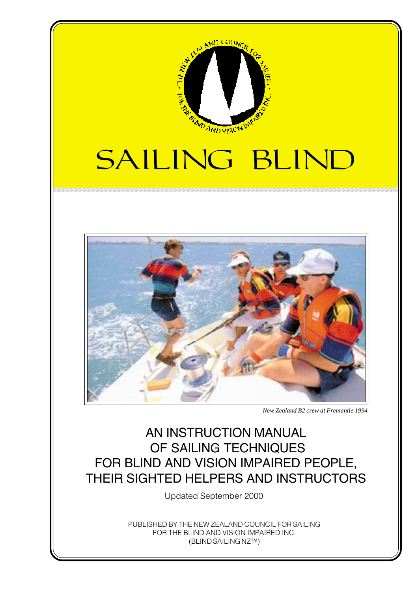

## SAILING BLIND



*New Zealand B2 crew at Fremantle 1994*

## AN INSTRUCTION MANUAL OF SAILING TECHNIQUES FOR BLIND AND VISION IMPAIRED PEOPLE, THEIR SIGHTED HELPERS AND INSTRUCTORS

Updated September 2000

PUBLISHED BY THE NEW ZEALAND COUNCIL FOR SAILING FOR THE BLIND AND VISION IMPAIRED INC. (BLIND SAILING NZ™)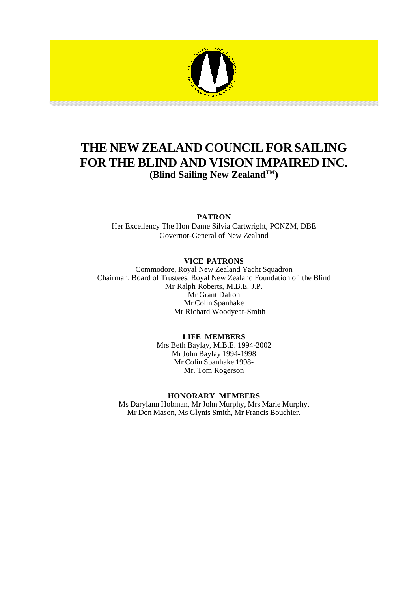

#### **THE NEW ZEALAND COUNCIL FOR SAILING FOR THE BLIND AND VISION IMPAIRED INC. (Blind Sailing New ZealandTM)**

#### **PATRON**

Her Excellency The Hon Dame Silvia Cartwright, PCNZM, DBE Governor-General of New Zealand

#### **VICE PATRONS**

Commodore, Royal New Zealand Yacht Squadron Chairman, Board of Trustees, Royal New Zealand Foundation of the Blind Mr Ralph Roberts, M.B.E. J.P. Mr Grant Dalton Mr Colin Spanhake Mr Richard Woodyear-Smith

#### **LIFE MEMBERS**

Mrs Beth Baylay, M.B.E. 1994-2002 Mr John Baylay 1994-1998 Mr Colin Spanhake 1998- Mr. Tom Rogerson

#### **HONORARY MEMBERS**

Ms Darylann Hobman, Mr John Murphy, Mrs Marie Murphy, Mr Don Mason, Ms Glynis Smith, Mr Francis Bouchier.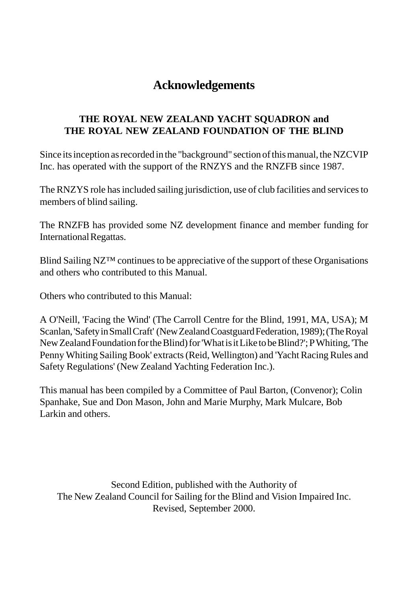## **Acknowledgements**

#### **THE ROYAL NEW ZEALAND YACHT SQUADRON and THE ROYAL NEW ZEALAND FOUNDATION OF THE BLIND**

Since its inception as recorded in the "background" section of this manual, the NZCVIP Inc. has operated with the support of the RNZYS and the RNZFB since 1987.

The RNZYS role has included sailing jurisdiction, use of club facilities and services to members of blind sailing.

The RNZFB has provided some NZ development finance and member funding for International Regattas.

Blind Sailing NZ™ continues to be appreciative of the support of these Organisations and others who contributed to this Manual.

Others who contributed to this Manual:

A O'Neill, 'Facing the Wind' (The Carroll Centre for the Blind, 1991, MA, USA); M Scanlan, 'Safety in Small Craft' (New Zealand Coastguard Federation, 1989); (The Royal New Zealand Foundation for the Blind) for 'What is it Like to be Blind?'; P Whiting, 'The Penny Whiting Sailing Book' extracts (Reid, Wellington) and 'Yacht Racing Rules and Safety Regulations' (New Zealand Yachting Federation Inc.).

This manual has been compiled by a Committee of Paul Barton, (Convenor); Colin Spanhake, Sue and Don Mason, John and Marie Murphy, Mark Mulcare, Bob Larkin and others.

Second Edition, published with the Authority of The New Zealand Council for Sailing for the Blind and Vision Impaired Inc. Revised, September 2000.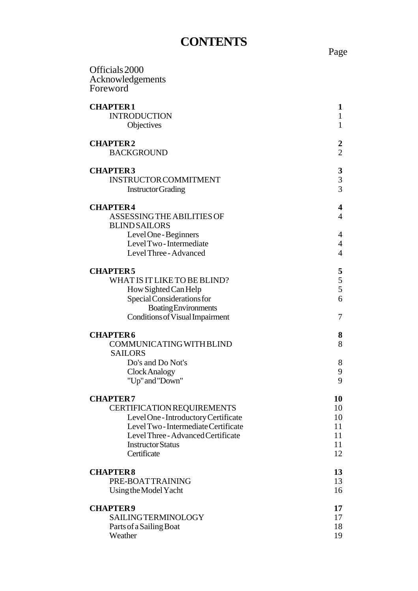## **CONTENTS**

| Officials 2000<br>Acknowledgements<br>Foreword                               |                                       |
|------------------------------------------------------------------------------|---------------------------------------|
| <b>CHAPTER1</b><br><b>INTRODUCTION</b><br>Objectives                         | 1<br>$\mathbf{1}$<br>$\mathbf{1}$     |
| <b>CHAPTER2</b><br><b>BACKGROUND</b>                                         | 2<br>$\overline{2}$                   |
| <b>CHAPTER3</b><br><b>INSTRUCTOR COMMITMENT</b><br><b>Instructor Grading</b> | $\boldsymbol{3}$<br>$\frac{3}{3}$     |
| <b>CHAPTER4</b><br><b>ASSESSING THE ABILITIES OF</b><br><b>BLIND SAILORS</b> | 4<br>$\overline{4}$                   |
| Level One - Beginners<br>Level Two-Intermediate<br>Level Three - Advanced    | 4<br>$\overline{4}$<br>$\overline{4}$ |
| <b>CHAPTER5</b>                                                              | 5                                     |
| WHAT IS IT LIKE TO BE BLIND?<br>How Sighted Can Help                         | 5<br>5                                |
| Special Considerations for                                                   | 6                                     |
| <b>Boating Environments</b>                                                  |                                       |
| Conditions of Visual Impairment                                              | 7                                     |
| <b>CHAPTER6</b>                                                              | 8                                     |
| COMMUNICATING WITH BLIND<br><b>SAILORS</b>                                   | 8                                     |
| Do's and Do Not's                                                            | 8                                     |
| Clock Analogy<br>"Up" and "Down"                                             | 9<br>9                                |
| <b>CHAPTER7</b>                                                              | 10                                    |
| <b>CERTIFICATION REQUIREMENTS</b>                                            | 10                                    |
| Level One - Introductory Certificate                                         | 10                                    |
| Level Two-Intermediate Certificate                                           | 11                                    |
| Level Three - Advanced Certificate<br><b>Instructor Status</b>               | 11<br>11                              |
| Certificate                                                                  | 12                                    |
| <b>CHAPTER8</b>                                                              | 13                                    |
| PRE-BOATTRAINING                                                             | 13                                    |
| Using the Model Yacht                                                        | 16                                    |
| <b>CHAPTER9</b>                                                              | 17                                    |
| <b>SAILINGTERMINOLOGY</b>                                                    | 17                                    |

Parts of a Sailing Boat 18 Weather 19

Page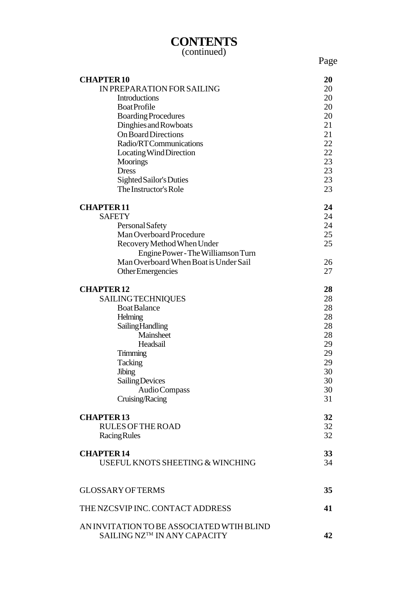## **CONTENTS**

(continued)

Page

| <b>CHAPTER10</b>                                                         | 20 |
|--------------------------------------------------------------------------|----|
| IN PREPARATION FOR SAILING                                               | 20 |
| <b>Introductions</b>                                                     | 20 |
| <b>BoatProfile</b>                                                       | 20 |
| <b>Boarding Procedures</b>                                               | 20 |
| Dinghies and Rowboats                                                    | 21 |
| <b>On Board Directions</b>                                               | 21 |
| Radio/RTCommunications                                                   | 22 |
| Locating Wind Direction                                                  | 22 |
| <b>Moorings</b>                                                          | 23 |
| <b>Dress</b>                                                             | 23 |
| Sighted Sailor's Duties                                                  | 23 |
| The Instructor's Role                                                    | 23 |
| <b>CHAPTER11</b>                                                         | 24 |
| <b>SAFETY</b>                                                            | 24 |
| Personal Safety                                                          | 24 |
| Man Overboard Procedure                                                  | 25 |
| Recovery Method When Under                                               | 25 |
| Engine Power - The Williamson Turn                                       |    |
| Man Overboard When Boat is Under Sail                                    | 26 |
| Other Emergencies                                                        | 27 |
|                                                                          |    |
| <b>CHAPTER12</b>                                                         | 28 |
| <b>SAILING TECHNIQUES</b>                                                | 28 |
| <b>Boat Balance</b>                                                      | 28 |
| Helming                                                                  | 28 |
| <b>Sailing Handling</b>                                                  | 28 |
| Mainsheet                                                                | 28 |
| Headsail                                                                 | 29 |
| Trimming                                                                 | 29 |
| Tacking                                                                  | 29 |
| <b>Jibing</b>                                                            | 30 |
| Sailing Devices                                                          | 30 |
| Audio Compass                                                            | 30 |
| Cruising/Racing                                                          | 31 |
|                                                                          |    |
| <b>CHAPTER13</b>                                                         | 32 |
| <b>RULES OF THE ROAD</b>                                                 | 32 |
| <b>Racing Rules</b>                                                      | 32 |
| <b>CHAPTER14</b>                                                         | 33 |
| USEFUL KNOTS SHEETING & WINCHING                                         | 34 |
|                                                                          |    |
| <b>GLOSSARY OF TERMS</b>                                                 | 35 |
|                                                                          |    |
| THE NZCSVIP INC. CONTACT ADDRESS                                         | 41 |
|                                                                          |    |
| AN INVITATION TO BE ASSOCIATED WTIH BLIND<br>SAILING NZ™ IN ANY CAPACITY | 42 |
|                                                                          |    |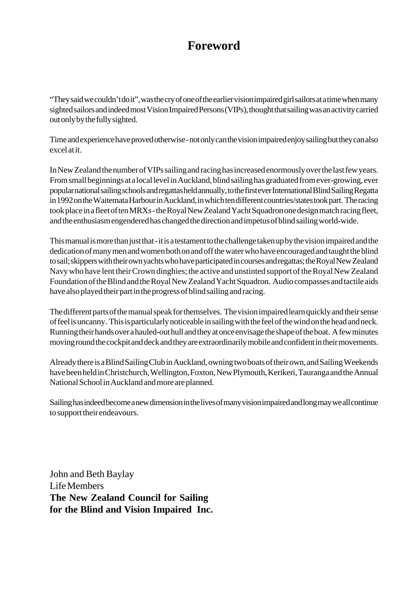## **Foreword**

"They said we couldn't do it", was the cry of one of the earlier vision impaired girl sailors at a time when many sighted sailors and indeed most Vision Impaired Persons (VIPs), thought that sailing was an activity carried out only by the fully sighted.

Time and experience have proved otherwise - not only can the vision impaired enjoy sailing but they can also excel at it.

In New Zealand the number of VIPs sailing and racing has increased enormously over the last few years. From small beginnings at a local level in Auckland, blind sailing has graduated from ever-growing, ever popular national sailing schools and regattas held annually, to the first ever International Blind Sailing Regatta in 1992 on the Waitemata Harbour in Auckland, in which ten different countries/states took part. The racing took place in a fleet of ten MRXs - the Royal New Zealand Yacht Squadron one design match racing fleet, and the enthusiasm engendered has changed the direction and impetus of blind sailing world-wide.

This manual is more than just that - it is a testament to the challenge taken up by the vision impaired and the dedication of many men and women both on and off the water who have encouraged and taught the blind to sail; skippers with their own yachts who have participated in courses and regattas; the Royal New Zealand Navy who have lent their Crown dinghies; the active and unstinted support of the Royal New Zealand Foundation of the Blind and the Royal New Zealand Yacht Squadron. Audio compasses and tactile aids have also played their part in the progress of blind sailing and racing.

The different parts of the manual speak for themselves. The vision impaired learn quickly and their sense of feel is uncanny. This is particularly noticeable in sailing with the feel of the wind on the head and neck. Running their hands over a hauled-out hull and they at once envisage the shape of the boat. A few minutes moving round the cockpit and deck and they are extraordinarily mobile and confident in their movements.

Already there is a Blind Sailing Club in Auckland, owning two boats of their own, and Sailing Weekends have been held in Christchurch, Wellington, Foxton, New Plymouth, Kerikeri, Tauranga and the Annual National School in Auckland and more are planned.

Sailing has indeed become a new dimension in the lives of many vision impaired and long may we all continue to support their endeavours.

John and Beth Baylay Life Members **The New Zealand Council for Sailing for the Blind and Vision Impaired Inc.**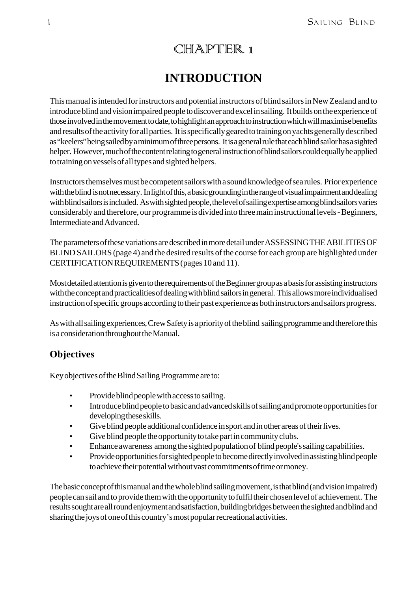## CHAPTER 1

## **INTRODUCTION**

This manual is intended for instructors and potential instructors of blind sailors in New Zealand and to introduce blind and vision impaired people to discover and excel in sailing. It builds on the experience of those involved in the movement to date, to highlight an approach to instruction which will maximise benefits and results of the activity for all parties. It is specifically geared to training on yachts generally described as "keelers" being sailed by a minimum of three persons. It is a general rule that each blind sailor has a sighted helper. However, much of the content relating to general instruction of blind sailors could equally be applied to training on vessels of all types and sighted helpers.

Instructors themselves must be competent sailors with a sound knowledge of sea rules. Prior experience with the blind is not necessary. In light of this, a basic grounding in the range of visual impairment and dealing with blind sailors is included. As with sighted people, the level of sailing expertise among blind sailors varies considerably and therefore, our programme is divided into three main instructional levels - Beginners, Intermediate and Advanced.

The parameters of these variations are described in more detail under ASSESSING THE ABILITIES OF BLIND SAILORS (page 4) and the desired results of the course for each group are highlighted under CERTIFICATION REQUIREMENTS (pages 10 and 11).

Most detailed attention is given to the requirements of the Beginner group as a basis for assisting instructors with the concept and practicalities of dealing with blind sailors in general. This allows more individualised instruction of specific groups according to their past experience as both instructors and sailors progress.

As with all sailing experiences, Crew Safety is a priority of the blind sailing programme and therefore this is a consideration throughout the Manual.

#### **Objectives**

Key objectives of the Blind Sailing Programme are to:

- Provide blind people with access to sailing.
- Introduce blind people to basic and advanced skills of sailing and promote opportunities for developing these skills.
- Give blind people additional confidence in sport and in other areas of their lives.
- Give blind people the opportunity to take part in community clubs.
- Enhance awareness among the sighted population of blind people's sailing capabilities.
- Provide opportunities for sighted people to become directly involved in assisting blind people to achieve their potential without vast commitments of time or money.

The basic concept of this manual and the whole blind sailing movement, is that blind (and vision impaired) people can sail and to provide them with the opportunity to fulfil their chosen level of achievement. The results sought are all round enjoyment and satisfaction, building bridges between the sighted and blind and sharing the joys of one of this country's most popular recreational activities.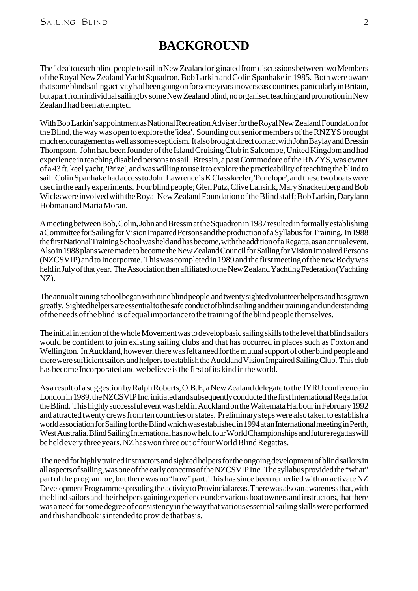## **BACKGROUND**

The 'idea' to teach blind people to sail in New Zealand originated from discussions between two Members of the Royal New Zealand Yacht Squadron, Bob Larkin and Colin Spanhake in 1985. Both were aware that some blind sailing activity had been going on for some years in overseas countries, particularly in Britain, but apart from individual sailing by some New Zealand blind, no organised teaching and promotion in New Zealand had been attempted.

With Bob Larkin's appointment as National Recreation Adviser for the Royal New Zealand Foundation for the Blind, the way was open to explore the 'idea'. Sounding out senior members of the RNZYS brought much encouragement as well as some scepticism. It also brought direct contact with John Baylay and Bressin Thompson. John had been founder of the Island Cruising Club in Salcombe, United Kingdom and had experience in teaching disabled persons to sail. Bressin, a past Commodore of the RNZYS, was owner of a 43 ft. keel yacht, 'Prize', and was willing to use it to explore the practicability of teaching the blind to sail. Colin Spanhake had access to John Lawrence's K Class keeler, 'Penelope', and these two boats were used in the early experiments. Four blind people; Glen Putz, Clive Lansink, Mary Snackenberg and Bob Wicks were involved with the Royal New Zealand Foundation of the Blind staff; Bob Larkin, Darylann Hobman and Maria Moran.

A meeting between Bob, Colin, John and Bressin at the Squadron in 1987 resulted in formally establishing a Committee for Sailing for Vision Impaired Persons and the production of a Syllabus for Training. In 1988 the first National Training School was held and has become, with the addition of a Regatta, as an annual event. Also in 1988 plans were made to become the New Zealand Council for Sailing for Vision Impaired Persons (NZCSVIP) and to Incorporate. This was completed in 1989 and the first meeting of the new Body was held in July of that year. The Association then affiliated to the New Zealand Yachting Federation (Yachting NZ).

The annual training school began with nine blind people and twenty sighted volunteer helpers and has grown greatly. Sighted helpers are essential to the safe conduct of blind sailing and their training and understanding of the needs of the blind is of equal importance to the training of the blind people themselves.

The initial intention of the whole Movement was to develop basic sailing skills to the level that blind sailors would be confident to join existing sailing clubs and that has occurred in places such as Foxton and Wellington. In Auckland, however, there was felt a need for the mutual support of other blind people and there were sufficient sailors and helpers to establish the Auckland Vision Impaired Sailing Club. This club has become Incorporated and we believe is the first of its kind in the world.

As a result of a suggestion by Ralph Roberts, O.B.E, a New Zealand delegate to the IYRU conference in London in 1989, the NZCSVIP Inc. initiated and subsequently conducted the first International Regatta for the Blind. This highly successful event was held in Auckland on the Waitemata Harbour in February 1992 and attracted twenty crews from ten countries or states. Preliminary steps were also taken to establish a world association for Sailing for the Blind which was established in 1994 at an International meeting in Perth, West Australia. Blind Sailing International has now held four World Championships and future regattas will be held every three years. NZ has won three out of four World Blind Regattas.

The need for highly trained instructors and sighted helpers for the ongoing development of blind sailors in all aspects of sailing, was one of the early concerns of the NZCSVIP Inc. The syllabus provided the "what" part of the programme, but there was no "how" part. This has since been remedied with an activate NZ Development Programme spreading the activity to Provincial areas. There was also an awareness that, with the blind sailors and their helpers gaining experience under various boat owners and instructors, that there was a need for some degree of consistency in the way that various essential sailing skills were performed and this handbook is intended to provide that basis.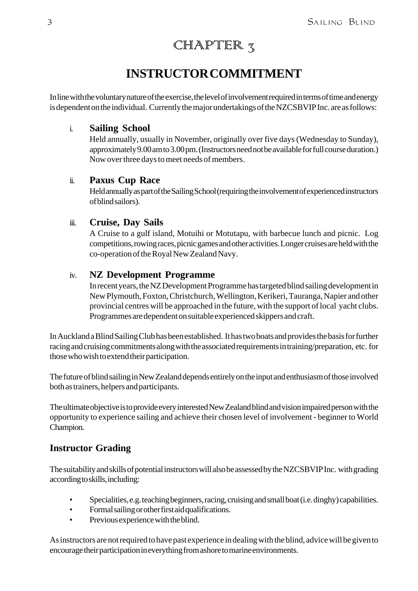## CHAPTER  $_5$

## **INSTRUCTOR COMMITMENT**

In line with the voluntary nature of the exercise, the level of involvement required in terms of time and energy is dependent on the individual. Currently the major undertakings of the NZCSBVIP Inc. are as follows:

#### i. **Sailing School**

Held annually, usually in November, originally over five days (Wednesday to Sunday), approximately 9.00 am to 3.00 pm. (Instructors need not be available for full course duration.) Now over three days to meet needs of members.

#### ii. **Paxus Cup Race**

Held annually as part of the Sailing School (requiring the involvement of experienced instructors of blind sailors).

#### iii. **Cruise, Day Sails**

A Cruise to a gulf island, Motuihi or Motutapu, with barbecue lunch and picnic. Log competitions, rowing races, picnic games and other activities. Longer cruises are held with the co-operation of the Royal New Zealand Navy.

#### iv. **NZ Development Programme**

In recent years, the NZ Development Programme has targeted blind sailing development in New Plymouth, Foxton, Christchurch, Wellington, Kerikeri, Tauranga, Napier and other provincial centres will be approached in the future, with the support of local yacht clubs. Programmes are dependent on suitable experienced skippers and craft.

In Auckland a Blind Sailing Club has been established. It has two boats and provides the basis for further racing and cruising commitments along with the associated requirements in training/preparation, etc. for those who wish to extend their participation.

The future of blind sailing in New Zealand depends entirely on the input and enthusiasm of those involved both as trainers, helpers and participants.

The ultimate objective is to provide every interested New Zealand blind and vision impaired person with the opportunity to experience sailing and achieve their chosen level of involvement - beginner to World Champion.

#### **Instructor Grading**

The suitability and skills of potential instructors will also be assessed by the NZCSBVIP Inc. with grading according to skills, including:

- Specialities, e.g. teaching beginners, racing, cruising and small boat (i.e. dinghy) capabilities.
- Formal sailing or other first aid qualifications.
- Previous experience with the blind.

As instructors are not required to have past experience in dealing with the blind, advice will be given to encourage their participation in everything from ashore to marine environments.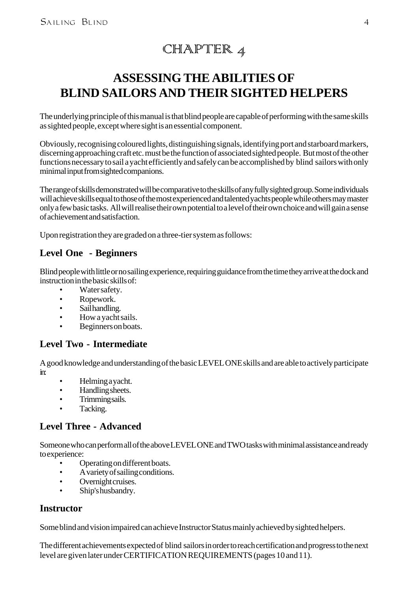## $CHIAPTIER 4$

## **ASSESSING THE ABILITIES OF BLIND SAILORS AND THEIR SIGHTED HELPERS**

The underlying principle of this manual is that blind people are capable of performing with the same skills as sighted people, except where sight is an essential component.

Obviously, recognising coloured lights, distinguishing signals, identifying port and starboard markers, discerning approaching craft etc. must be the function of associated sighted people. But most of the other functions necessary to sail a yacht efficiently and safely can be accomplished by blind sailors with only minimal input from sighted companions.

The range of skills demonstrated will be comparative to the skills of any fully sighted group. Some individuals will achieve skills equal to those of the most experienced and talented yachts people while others may master only a few basic tasks. All will realise their own potential to a level of their own choice and will gain a sense of achievement and satisfaction.

Upon registration they are graded on a three-tier system as follows:

#### **Level One - Beginners**

Blind people with little or no sailing experience, requiring guidance from the time they arrive at the dock and instruction in the basic skills of:

- Water safety.
- Ropework.
- Sailhandling.
- How a yacht sails.
- Beginners on boats.

#### **Level Two - Intermediate**

A good knowledge and understanding of the basic LEVEL ONE skills and are able to actively participate in:

- Helming a yacht.
- Handling sheets.
- Trimming sails.
- Tacking.

#### **Level Three - Advanced**

Someone who can perform all of the above LEVEL ONE and TWO tasks with minimal assistance and ready to experience:

- Operating on different boats.
- A variety of sailing conditions.
- Overnight cruises.
- Ship's husbandry.

#### **Instructor**

Some blind and vision impaired can achieve Instructor Status mainly achieved by sighted helpers.

The different achievements expected of blind sailors in order to reach certification and progress to the next level are given later under CERTIFICATION REQUIREMENTS (pages 10 and 11).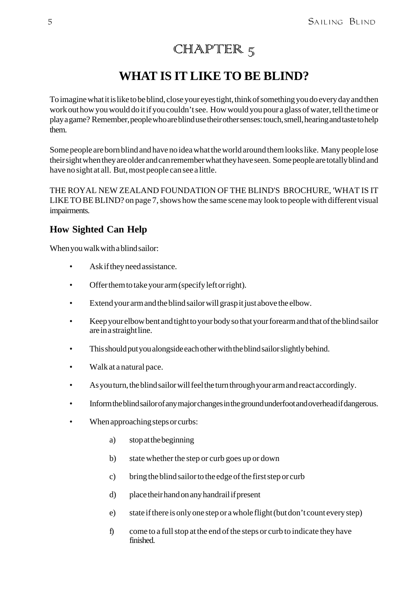## $\text{CHAMPTIER } 5 \text{}$

#### **WHAT IS IT LIKE TO BE BLIND?**

To imagine what it is like to be blind, close your eyes tight, think of something you do every day and then work out how you would do it if you couldn't see. How would you pour a glass of water, tell the time or play a game? Remember, people who are blind use their other senses: touch, smell, hearing and taste to help them.

Some people are born blind and have no idea what the world around them looks like. Many people lose their sight when they are older and can remember what they have seen. Some people are totally blind and have no sight at all. But, most people can see a little.

THE ROYAL NEW ZEALAND FOUNDATION OF THE BLIND'S BROCHURE, 'WHAT IS IT LIKE TO BE BLIND? on page 7, shows how the same scene may look to people with different visual impairments.

#### **How Sighted Can Help**

When you walk with a blind sailor:

- Ask if they need assistance.
- Offer them to take your arm (specify left or right).
- Extend your arm and the blind sailor will grasp it just above the elbow.
- Keep your elbow bent and tight to your body so that your forearm and that of the blind sailor are in a straight line.
- This should put you alongside each other with the blind sailor slightly behind.
- Walk at a natural pace.
- As you turn, the blind sailor will feel the turn through your arm and react accordingly.
- Inform the blind sailor of any major changes in the ground underfoot and overhead if dangerous.
- When approaching steps or curbs:
	- a) stop at the beginning
	- b) state whether the step or curb goes up or down
	- c) bring the blind sailor to the edge of the first step or curb
	- d) place their hand on any handrail if present
	- e) state if there is only one step or a whole flight (but don't count every step)
	- f) come to a full stop at the end of the steps or curb to indicate they have finished.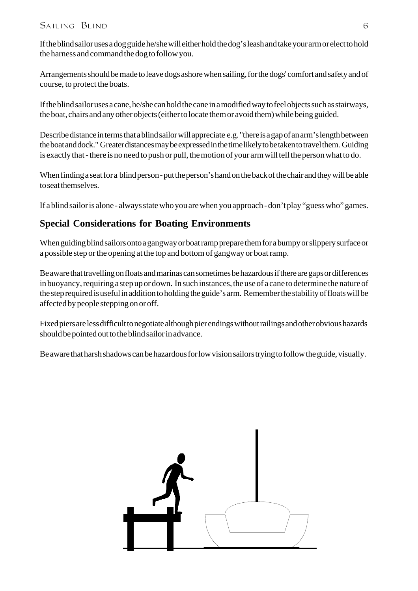#### $SALING$   $BLIND$  6

If the blind sailor uses a dog guide he/she will either hold the dog's leash and take your arm or elect to hold the harness and command the dog to follow you.

Arrangements should be made to leave dogs ashore when sailing, for the dogs' comfort and safety and of course, to protect the boats.

If the blind sailor uses a cane, he/she can hold the cane in a modified way to feel objects such as stairways, the boat, chairs and any other objects (either to locate them or avoid them) while being guided.

Describe distance in terms that a blind sailor will appreciate e.g. "there is a gap of an arm's length between the boat and dock." Greater distances may be expressed in the time likely to be taken to travel them. Guiding is exactly that - there is no need to push or pull, the motion of your arm will tell the person what to do.

When finding a seat for a blind person - put the person's hand on the back of the chair and they will be able to seat themselves.

If a blind sailor is alone - always state who you are when you approach - don't play "guess who" games.

#### **Special Considerations for Boating Environments**

When guiding blind sailors onto a gangway or boat ramp prepare them for a bumpy or slippery surface or a possible step or the opening at the top and bottom of gangway or boat ramp.

Be aware that travelling on floats and marinas can sometimes be hazardous if there are gaps or differences in buoyancy, requiring a step up or down. In such instances, the use of a cane to determine the nature of the step required is useful in addition to holding the guide's arm. Remember the stability of floats will be affected by people stepping on or off.

Fixed piers are less difficult to negotiate although pier endings without railings and other obvious hazards should be pointed out to the blind sailor in advance.

Be aware that harsh shadows can be hazardous for low vision sailors trying to follow the guide, visually.

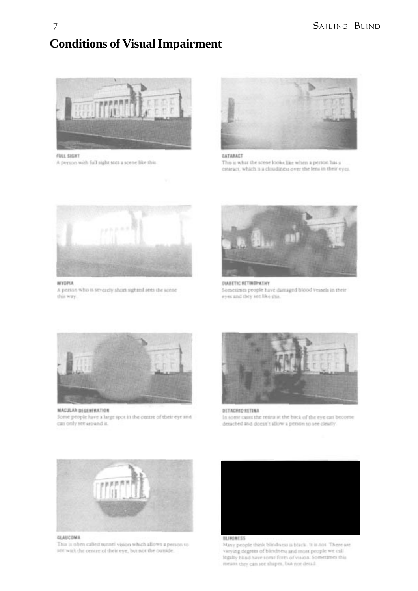## **Conditions of Visual Impairment**



**FULL SIGHT** 

A person with full sight sees a scene like this.



#### CATABACT

This is what the scene looks like when a person has a cataract, which is a cloudiness over the lens in their eyes.



#### **MYOPLA**

A person who is severely short sighted sets the scene this way.



DIABETIC RETINDPATHY Sometimes people have damaged blood vessels in their eyes and they see like this.



**MACULAR DEGENERATION** Some people have a large spot in the centre of their eye and can only see around it.



DETACHED RETINA In some cases the retina at the back of the eye can become detached and doesn't allow a person to see clearly.



#### GLAUCOMA

This is often called tunnel vision which allows a person to see with the centre of their eye, but not the outside.



Many people think blindness is black. It is not. There are varying degrees of blindness and most people we call legally blind have some form of vision. Sometimes this means they can see shapes, but not detail.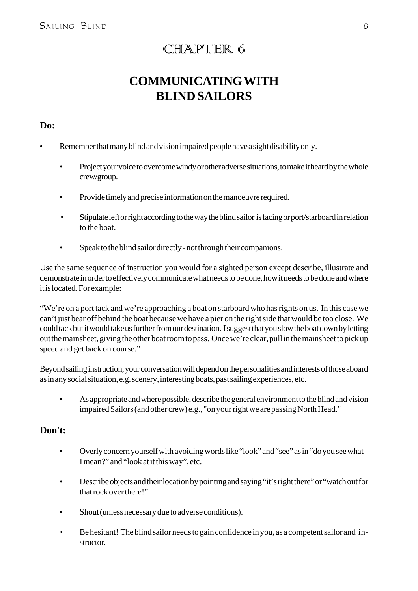## CHAPTER 6

## **COMMUNICATING WITH BLIND SAILORS**

#### **Do:**

- Remember that many blind and vision impaired people have a sight disability only.
	- Project your voice to overcome windy or other adverse situations, to make it heard by the whole crew/group.
	- Provide timely and precise information on the manoeuvre required.
	- Stipulate left or right according to the way the blind sailor is facing or port/starboard in relation to the boat.
	- Speak to the blind sailor directly not through their companions.

Use the same sequence of instruction you would for a sighted person except describe, illustrate and demonstrate in order to effectively communicate what needs to be done, how it needs to be done and where it is located. For example:

"We're on a port tack and we're approaching a boat on starboard who has rights on us. In this case we can't just bear off behind the boat because we have a pier on the right side that would be too close. We could tack but it would take us further from our destination. I suggest that you slow the boat down by letting out the mainsheet, giving the other boat room to pass. Once we're clear, pull in the mainsheet to pick up speed and get back on course."

Beyond sailing instruction, your conversation will depend on the personalities and interests of those aboard as in any social situation, e.g. scenery, interesting boats, past sailing experiences, etc.

• As appropriate and where possible, describe the general environment to the blind and vision impaired Sailors (and other crew) e.g., "on your right we are passing North Head."

#### **Don't:**

- Overly concern yourself with avoiding words like "look" and "see" as in "do you see what I mean?" and "look at it this way", etc.
- Describe objects and their location by pointing and saying "it's right there" or "watch out for that rock over there!"
- Shout (unless necessary due to adverse conditions).
- Be hesitant! The blind sailor needs to gain confidence in you, as a competent sailor and instructor.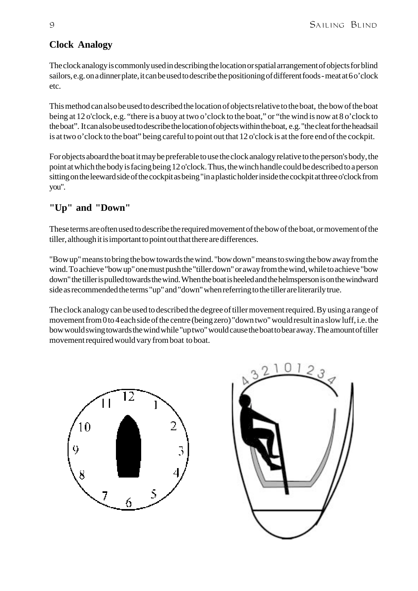#### **Clock Analogy**

The clock analogy is commonly used in describing the location or spatial arrangement of objects for blind sailors, e.g. on a dinner plate, it can be used to describe the positioning of different foods - meat at 6 o'clock etc.

This method can also be used to described the location of objects relative to the boat, the bow of the boat being at 12 o'clock, e.g. "there is a buoy at two o'clock to the boat," or "the wind is now at 8 o'clock to the boat". It can also be used to describe the location of objects within the boat, e.g. "the cleat for the headsail is at two o'clock to the boat" being careful to point out that 12 o'clock is at the fore end of the cockpit.

For objects aboard the boat it may be preferable to use the clock analogy relative to the person's body, the point at which the body is facing being 12 o'clock. Thus, the winch handle could be described to a person sitting on the leeward side of the cockpit as being "in a plastic holder inside the cockpit at three o'clock from you".

#### **"Up" and "Down"**

These terms are often used to describe the required movement of the bow of the boat, or movement of the tiller, although it is important to point out that there are differences.

"Bow up" means to bring the bow towards the wind. "bow down" means to swing the bow away from the wind. To achieve "bow up" one must push the "tiller down" or away from the wind, while to achieve "bow down" the tiller is pulled towards the wind. When the boat is heeled and the helmsperson is on the windward side as recommended the terms "up" and "down" when referring to the tiller are literarily true.

The clock analogy can be used to described the degree of tiller movement required. By using a range of movement from 0 to 4 each side of the centre (being zero) "down two" would result in a slow luff, i.e. the bow would swing towards the wind while "up two" would cause the boat to bear away. The amount of tiller movement required would vary from boat to boat.



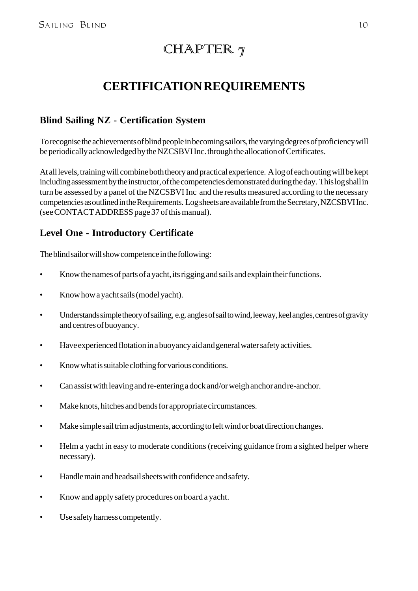## CHAPTER  $\eta$

## **CERTIFICATION REQUIREMENTS**

#### **Blind Sailing NZ - Certification System**

To recognise the achievements of blind people in becoming sailors, the varying degrees of proficiency will be periodically acknowledged by the NZCSBVI Inc. through the allocation of Certificates.

At all levels, training will combine both theory and practical experience. A log of each outing will be kept including assessment by the instructor, of the competencies demonstrated during the day. This log shall in turn be assessed by a panel of the NZCSBVI Inc and the results measured according to the necessary competencies as outlined in the Requirements. Log sheets are available from the Secretary, NZCSBVI Inc. (see CONTACT ADDRESS page 37 of this manual).

#### **Level One - Introductory Certificate**

The blind sailor will show competence in the following:

- Know the names of parts of a yacht, its rigging and sails and explain their functions.
- Know how a yacht sails (model yacht).
- Understands simple theory of sailing, e.g. angles of sail to wind, leeway, keel angles, centres of gravity and centres of buoyancy.
- Have experienced flotation in a buoyancy aid and general water safety activities.
- Know what is suitable clothing for various conditions.
- Can assist with leaving and re-entering a dock and/or weigh anchor and re-anchor.
- Make knots, hitches and bends for appropriate circumstances.
- Make simple sail trim adjustments, according to felt wind or boat direction changes.
- Helm a yacht in easy to moderate conditions (receiving guidance from a sighted helper where necessary).
- Handle main and headsail sheets with confidence and safety.
- Know and apply safety procedures on board a yacht.
- Use safety harness competently.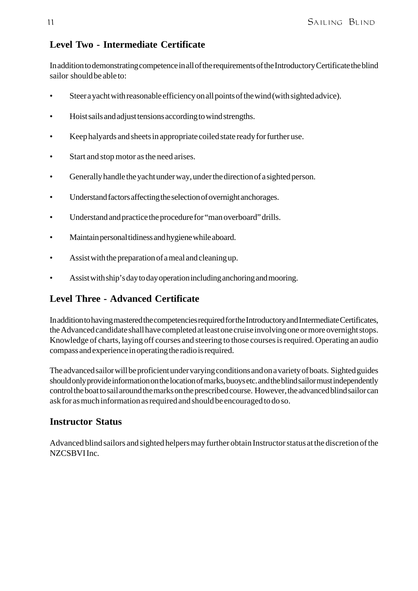#### **Level Two - Intermediate Certificate**

In addition to demonstrating competence in all of the requirements of the Introductory Certificate the blind sailor should be able to:

- Steer a yacht with reasonable efficiency on all points of the wind (with sighted advice).
- Hoist sails and adjust tensions according to wind strengths.
- Keep halyards and sheets in appropriate coiled state ready for further use.
- Start and stop motor as the need arises.
- Generally handle the yacht under way, under the direction of a sighted person.
- Understand factors affecting the selection of overnight anchorages.
- Understand and practice the procedure for "man overboard" drills.
- Maintain personal tidiness and hygiene while aboard.
- Assist with the preparation of a meal and cleaning up.
- Assist with ship's day to day operation including anchoring and mooring.

#### **Level Three - Advanced Certificate**

In addition to having mastered the competencies required for the Introductory and Intermediate Certificates, the Advanced candidate shall have completed at least one cruise involving one or more overnight stops. Knowledge of charts, laying off courses and steering to those courses is required. Operating an audio compass and experience in operating the radio is required.

The advanced sailor will be proficient under varying conditions and on a variety of boats. Sighted guides should only provide information on the location of marks, buoys etc. and the blind sailor must independently control the boat to sail around the marks on the prescribed course. However, the advanced blind sailor can ask for as much information as required and should be encouraged to do so.

#### **Instructor Status**

Advanced blind sailors and sighted helpers may further obtain Instructor status at the discretion of the NZCSBVI Inc.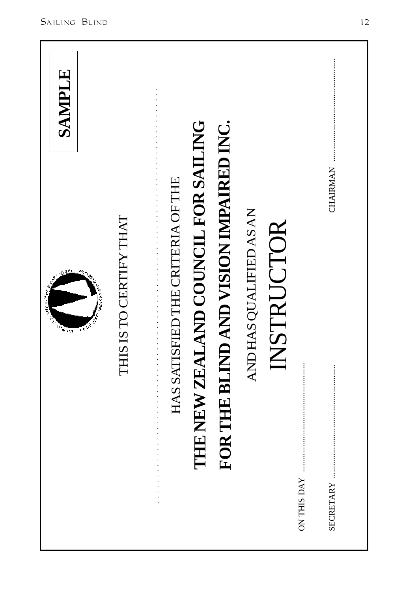| وأسابه<br>$\sqrt{\hbar\sigma}$<br>πŧ   | SANPLE |
|----------------------------------------|--------|
| IS IS TO CERTIFY THAT                  |        |
| HAS SATISFIED THE CRITERIA OF THE      |        |
| THE NEW ZEALAND COUNCIL FOR SAILING    |        |
| FOR THE BLIND AND VISION IMPAIRED INC. |        |
| AND HAS QUALIFIED AS AN                |        |
| NSTRUCTOR                              |        |
| <b>ON THIS DAY</b>                     |        |
| CHAIRMAN<br>SECRETARY                  |        |
|                                        |        |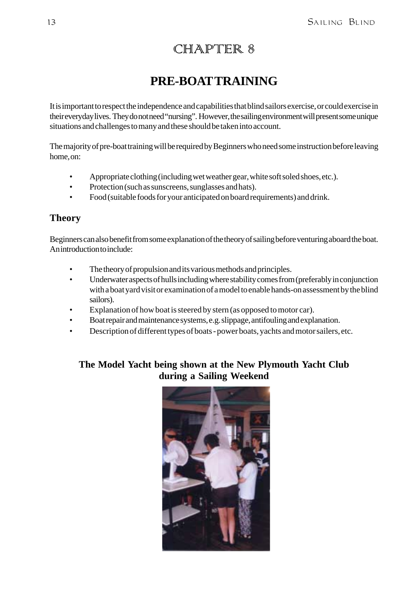## CHAPTER 8

## **PRE-BOAT TRAINING**

It is important to respect the independence and capabilities that blind sailors exercise, or could exercise in their everyday lives. They do not need "nursing". However, the sailing environment will present some unique situations and challenges to many and these should be taken into account.

The majority of pre-boat training will be required by Beginners who need some instruction before leaving home, on:

- Appropriate clothing (including wet weather gear, white soft soled shoes, etc.).
- Protection (such as sunscreens, sunglasses and hats).
- Food (suitable foods for your anticipated on board requirements) and drink.

#### **Theory**

Beginners can also benefit from some explanation of the theory of sailing before venturing aboard the boat. An introduction to include:

- The theory of propulsion and its various methods and principles.
- Underwater aspects of hulls including where stability comes from (preferably in conjunction with a boat yard visit or examination of a model to enable hands-on assessment by the blind sailors).
- Explanation of how boat is steered by stern (as opposed to motor car).
- Boat repair and maintenance systems, e.g. slippage, antifouling and explanation.
- Description of different types of boats power boats, yachts and motor sailers, etc.

#### **The Model Yacht being shown at the New Plymouth Yacht Club during a Sailing Weekend**

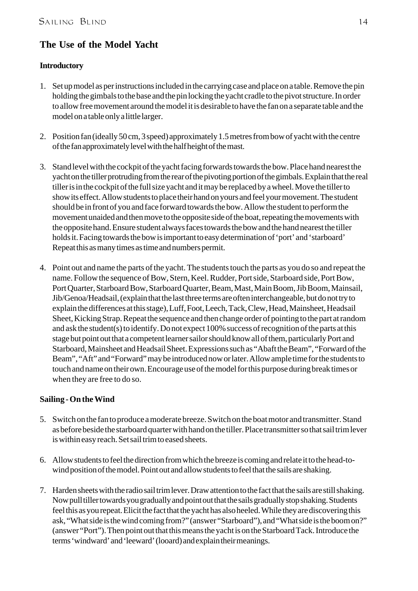#### **The Use of the Model Yacht**

#### **Introductory**

- 1. Set up model as per instructions included in the carrying case and place on a table. Remove the pin holding the gimbals to the base and the pin locking the yacht cradle to the pivot structure. In order to allow free movement around the model it is desirable to have the fan on a separate table and the model on a table only a little larger.
- 2. Position fan (ideally 50 cm, 3 speed) approximately 1.5 metres from bow of yacht with the centre of the fan approximately level with the half height of the mast.
- 3. Stand level with the cockpit of the yacht facing forwards towards the bow. Place hand nearest the yacht on the tiller protruding from the rear of the pivoting portion of the gimbals. Explain that the real tiller is in the cockpit of the full size yacht and it may be replaced by a wheel. Move the tiller to show its effect. Allow students to place their hand on yours and feel your movement. The student should be in front of you and face forward towards the bow. Allow the student to perform the movement unaided and then move to the opposite side of the boat, repeating the movements with the opposite hand. Ensure student always faces towards the bow and the hand nearest the tiller holds it. Facing towards the bow is important to easy determination of 'port' and 'starboard' Repeat this as many times as time and numbers permit.
- 4. Point out and name the parts of the yacht. The students touch the parts as you do so and repeat the name. Follow the sequence of Bow, Stern, Keel. Rudder, Port side, Starboard side, Port Bow, Port Quarter, Starboard Bow, Starboard Quarter, Beam, Mast, Main Boom, Jib Boom, Mainsail, Jib/Genoa/Headsail, (explain that the last three terms are often interchangeable, but do not try to explain the differences at this stage), Luff, Foot, Leech, Tack, Clew, Head, Mainsheet, Headsail Sheet, Kicking Strap. Repeat the sequence and then change order of pointing to the part at random and ask the student(s) to identify. Do not expect 100% success of recognition of the parts at this stage but point out that a competent learner sailor should know all of them, particularly Port and Starboard, Mainsheet and Headsail Sheet. Expressions such as "Abaft the Beam", "Forward of the Beam", "Aft" and "Forward" may be introduced now or later. Allow ample time for the students to touch and name on their own. Encourage use of the model for this purpose during break times or when they are free to do so.

#### **Sailing - On the Wind**

- 5. Switch on the fan to produce a moderate breeze. Switch on the boat motor and transmitter. Stand as before beside the starboard quarter with hand on the tiller. Place transmitter so that sail trim lever is within easy reach. Set sail trim to eased sheets.
- 6. Allow students to feel the direction from which the breeze is coming and relate it to the head-towind position of the model. Point out and allow students to feel that the sails are shaking.
- 7. Harden sheets with the radio sail trim lever. Draw attention to the fact that the sails are still shaking. Now pull tiller towards you gradually and point out that the sails gradually stop shaking. Students feel this as you repeat. Elicit the fact that the yacht has also heeled. While they are discovering this ask, "What side is the wind coming from?" (answer "Starboard"), and "What side is the boom on?" (answer "Port"). Then point out that this means the yacht is on the Starboard Tack. Introduce the terms 'windward' and 'leeward' (looard) and explain their meanings.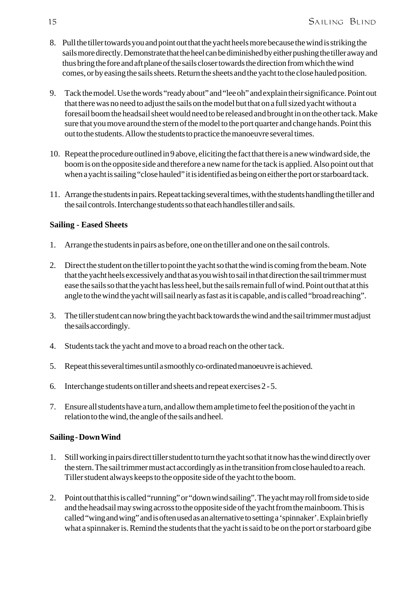- 8. Pull the tiller towards you and point out that the yacht heels more because the wind is striking the sails more directly. Demonstrate that the heel can be diminished by either pushing the tiller away and thus bring the fore and aft plane of the sails closer towards the direction from which the wind comes, or by easing the sails sheets. Return the sheets and the yacht to the close hauled position.
- 9. Tack the model. Use the words "ready about" and "lee oh" and explain their significance. Point out that there was no need to adjust the sails on the model but that on a full sized yacht without a foresail boom the headsail sheet would need to be released and brought in on the other tack. Make sure that you move around the stern of the model to the port quarter and change hands. Point this out to the students. Allow the students to practice the manoeuvre several times.
- 10. Repeat the procedure outlined in 9 above, eliciting the fact that there is a new windward side, the boom is on the opposite side and therefore a new name for the tack is applied. Also point out that when a yacht is sailing "close hauled" it is identified as being on either the port or starboard tack.
- 11. Arrange the students in pairs. Repeat tacking several times, with the students handling the tiller and the sail controls. Interchange students so that each handles tiller and sails.

#### **Sailing - Eased Sheets**

- 1. Arrange the students in pairs as before, one on the tiller and one on the sail controls.
- 2. Direct the student on the tiller to point the yacht so that the wind is coming from the beam. Note that the yacht heels excessively and that as you wish to sail in that direction the sail trimmer must ease the sails so that the yacht has less heel, but the sails remain full of wind. Point out that at this angle to the wind the yacht will sail nearly as fast as it is capable, and is called "broad reaching".
- 3. The tiller student can now bring the yacht back towards the wind and the sail trimmer must adjust the sails accordingly.
- 4. Students tack the yacht and move to a broad reach on the other tack.
- 5. Repeat this several times until a smoothly co-ordinated manoeuvre is achieved.
- 6. Interchange students on tiller and sheets and repeat exercises 2 5.
- 7. Ensure all students have a turn, and allow them ample time to feel the position of the yacht in relation to the wind, the angle of the sails and heel.

#### **Sailing - Down Wind**

- 1. Still working in pairs direct tiller student to turn the yacht so that it now has the wind directly over the stern. The sail trimmer must act accordingly as in the transition from close hauled to a reach. Tiller student always keeps to the opposite side of the yacht to the boom.
- 2. Point out that this is called "running" or "down wind sailing". The yacht may roll from side to side and the headsail may swing across to the opposite side of the yacht from the mainboom. This is called "wing and wing" and is often used as an alternative to setting a 'spinnaker'. Explain briefly what a spinnaker is. Remind the students that the yacht is said to be on the port or starboard gibe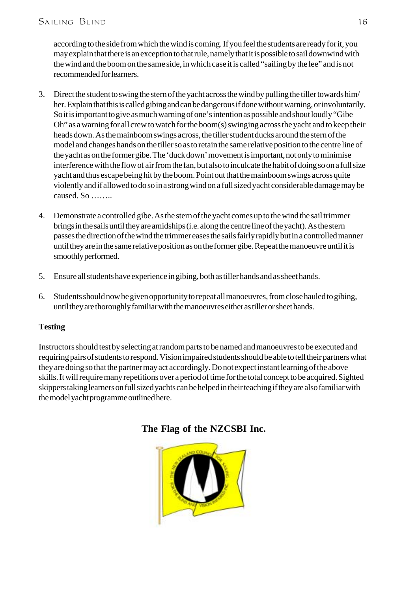according to the side from which the wind is coming. If you feel the students are ready for it, you may explain that there is an exception to that rule, namely that it is possible to sail downwind with the wind and the boom on the same side, in which case it is called "sailing by the lee" and is not recommended for learners.

- 3. Direct the student to swing the stern of the yacht across the wind by pulling the tiller towards him/ her. Explain that this is called gibing and can be dangerous if done without warning, or involuntarily. So it is important to give as much warning of one's intention as possible and shout loudly "Gibe Oh" as a warning for all crew to watch for the boom(s) swinging across the yacht and to keep their heads down. As the mainboom swings across, the tiller student ducks around the stern of the model and changes hands on the tiller so as to retain the same relative position to the centre line of the yacht as on the former gibe. The 'duck down' movement is important, not only to minimise interference with the flow of air from the fan, but also to inculcate the habit of doing so on a full size yacht and thus escape being hit by the boom. Point out that the mainboom swings across quite violently and if allowed to do so in a strong wind on a full sized yacht considerable damage may be caused. So ……..
- 4. Demonstrate a controlled gibe. As the stern of the yacht comes up to the wind the sail trimmer brings in the sails until they are amidships (i.e. along the centre line of the yacht). As the stern passes the direction of the wind the trimmer eases the sails fairly rapidly but in a controlled manner until they are in the same relative position as on the former gibe. Repeat the manoeuvre until it is smoothly performed.
- 5. Ensure all students have experience in gibing, both as tiller hands and as sheet hands.
- 6. Students should now be given opportunity to repeat all manoeuvres, from close hauled to gibing, until they are thoroughly familiar with the manoeuvres either as tiller or sheet hands.

#### **Testing**

Instructors should test by selecting at random parts to be named and manoeuvres to be executed and requiring pairs of students to respond. Vision impaired students should be able to tell their partners what they are doing so that the partner may act accordingly. Do not expect instant learning of the above skills. It will require many repetitions over a period of time for the total concept to be acquired. Sighted skippers taking learners on full sized yachts can be helped in their teaching if they are also familiar with the model yacht programme outlined here.



#### **The Flag of the NZCSBI Inc.**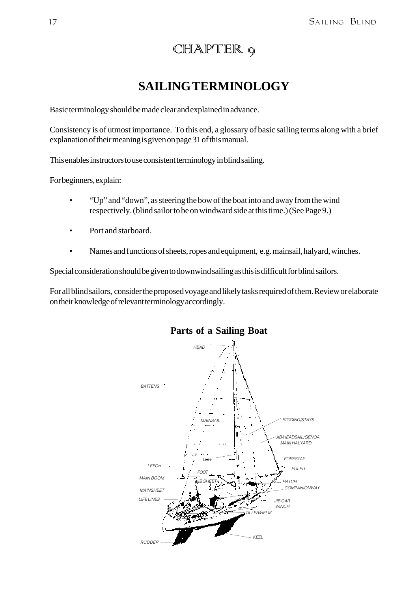## CHAPTER 9

## **SAILING TERMINOLOGY**

Basic terminology should be made clear and explained in advance.

Consistency is of utmost importance. To this end, a glossary of basic sailing terms along with a brief explanation of their meaning is given on page 31 of this manual.

This enables instructors to use consistent terminology in blind sailing.

For beginners, explain:

- "Up" and "down", as steering the bow of the boat into and away from the wind respectively. (blind sailor to be on windward side at this time.) (See Page 9.)
- Port and starboard.
- Names and functions of sheets, ropes and equipment, e.g. mainsail, halyard, winches.

Special consideration should be given to downwind sailing as this is difficult for blind sailors.

For all blind sailors, consider the proposed voyage and likely tasks required of them. Review or elaborate on their knowledge of relevant terminology accordingly.



#### **Parts of a Sailing Boat**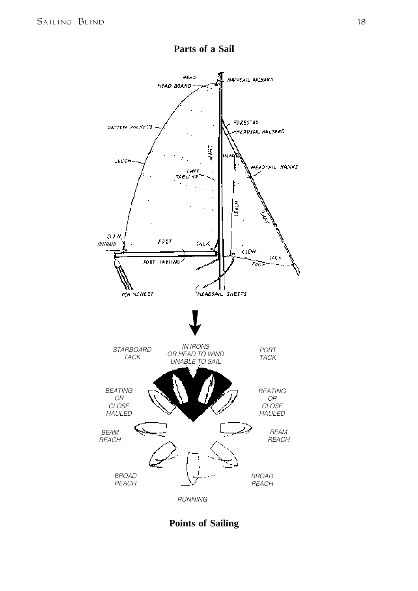

**Parts of a Sail**

#### **Points of Sailing**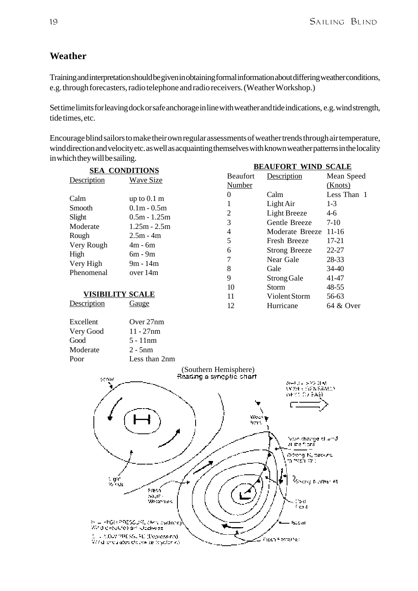#### **Weather**

Training and interpretation should be given in obtaining formal information about differing weather conditions, e.g. through forecasters, radio telephone and radio receivers. (Weather Workshop.)

Set time limits for leaving dock or safe anchorage in line with weather and tide indications, e.g. wind strength, tide times, etc.

**BEAUFORT WIND SCALE** Encourage blind sailors to make their own regular assessments of weather trends through air temperature, wind direction and velocity etc. as well as acquainting themselves with known weather patterns in the locality in which they will be sailing.

| <b>SEA CONDITIONS</b>   |                                                                       |                          |                  | <u>BEAUFORT WIND SCALE</u>                  |             |
|-------------------------|-----------------------------------------------------------------------|--------------------------|------------------|---------------------------------------------|-------------|
| Description             | <b>Wave Size</b>                                                      |                          | <b>Beaufort</b>  | Description                                 | Mean Speed  |
|                         |                                                                       |                          | Number           |                                             | (Knots)     |
| Calm                    | up to $0.1 \text{ m}$                                                 |                          | $\boldsymbol{0}$ | Calm                                        | Less Than 1 |
| Smooth                  | $0.1m - 0.5m$                                                         |                          | 1                | Light Air                                   | $1-3$       |
| Slight                  | $0.5m - 1.25m$                                                        |                          | $\overline{2}$   | <b>Light Breeze</b>                         | $4 - 6$     |
| Moderate                | $1.25m - 2.5m$                                                        |                          | 3                | Gentle Breeze                               | $7-10$      |
| Rough                   | $2.5m - 4m$                                                           |                          | $\overline{4}$   | Moderate Breeze                             | $11-16$     |
| Very Rough              | $4m - 6m$                                                             |                          | 5                | <b>Fresh Breeze</b>                         | $17 - 21$   |
| High                    | $6m - 9m$                                                             |                          | 6                | <b>Strong Breeze</b>                        | 22-27       |
| Very High               | 9m - 14m                                                              |                          | 7                | Near Gale                                   | 28-33       |
| Phenomenal              | over 14m                                                              |                          | 8                | Gale                                        | 34-40       |
|                         |                                                                       |                          | 9                | Strong Gale                                 | 41-47       |
|                         |                                                                       |                          | 10               | <b>Storm</b>                                | 48-55       |
| <b>VISIBILITY SCALE</b> |                                                                       |                          | 11               | Violent Storm                               | 56-63       |
| Description             | <b>Gauge</b>                                                          |                          | 12               | Hurricane                                   | 64 & Over   |
| Excellent               | Over 27nm                                                             |                          |                  |                                             |             |
| Very Good               | $11 - 27$ nm                                                          |                          |                  |                                             |             |
| Good                    | $5 - 11nm$                                                            |                          |                  |                                             |             |
| Moderate                | $2 - 5nm$                                                             |                          |                  |                                             |             |
| Poor                    | Less than 2nm                                                         |                          |                  |                                             |             |
|                         |                                                                       | (Southern Hemisphere)    |                  |                                             |             |
| scour                   |                                                                       | Reading a synoptic chart |                  |                                             |             |
|                         |                                                                       |                          |                  | 双形 医空气性病<br>NY 2013 INDY NEGARAD            |             |
|                         |                                                                       |                          |                  | WHY TO BASE                                 |             |
|                         |                                                                       |                          |                  |                                             |             |
|                         |                                                                       |                          | Week             |                                             |             |
|                         |                                                                       |                          | 47.PM            |                                             |             |
|                         |                                                                       |                          |                  |                                             |             |
|                         |                                                                       |                          |                  | Yale cha <i>nge</i> ist who<br>al Ibe fooni |             |
|                         |                                                                       |                          |                  | Ydeng N, tæbund                             |             |
|                         |                                                                       |                          |                  | a freshi Wic                                |             |
|                         |                                                                       |                          |                  |                                             |             |
| tingh)<br>Wilauts       |                                                                       |                          |                  | Rondonuelles                                |             |
|                         | Fresh                                                                 |                          |                  |                                             |             |
|                         | Sault -<br>Westmines                                                  |                          |                  | ∷o di                                       |             |
|                         |                                                                       |                          |                  | frent                                       |             |
|                         | H = HIGH PRESSUPE (Art) by clone                                      |                          |                  | lscoar.                                     |             |
|                         | Who encoures an independent                                           |                          |                  |                                             |             |
|                         | U - UOW PPESSLED (Depletaina).<br>Write lenguates elsowike teststanks |                          |                  | Fresh FasterNet                             |             |
|                         |                                                                       |                          |                  |                                             |             |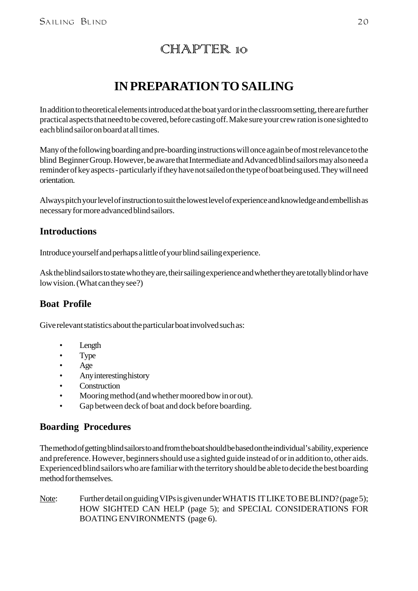## CHAPTER 10

## **IN PREPARATION TO SAILING**

In addition to theoretical elements introduced at the boat yard or in the classroom setting, there are further practical aspects that need to be covered, before casting off. Make sure your crew ration is one sighted to each blind sailor on board at all times.

Many of the following boarding and pre-boarding instructions will once again be of most relevance to the blind Beginner Group. However, be aware that Intermediate and Advanced blind sailors may also need a reminder of key aspects - particularly if they have not sailed on the type of boat being used. They will need orientation.

Always pitch your level of instruction to suit the lowest level of experience and knowledge and embellish as necessary for more advanced blind sailors.

#### **Introductions**

Introduce yourself and perhaps a little of your blind sailing experience.

Ask the blind sailors to state who they are, their sailing experience and whether they are totally blind or have low vision. (What can they see?)

#### **Boat Profile**

Give relevant statistics about the particular boat involved such as:

- Length
- Type
- Age
- Any interesting history
- Construction
- Mooring method (and whether moored bow in or out).
- Gap between deck of boat and dock before boarding.

#### **Boarding Procedures**

The method of getting blind sailors to and from the boat should be based on the individual's ability, experience and preference. However, beginners should use a sighted guide instead of or in addition to, other aids. Experienced blind sailors who are familiar with the territory should be able to decide the best boarding method for themselves.

Note: Further detail on guiding VIPs is given under WHAT IS IT LIKE TO BE BLIND? (page 5); HOW SIGHTED CAN HELP (page 5); and SPECIAL CONSIDERATIONS FOR BOATING ENVIRONMENTS (page 6).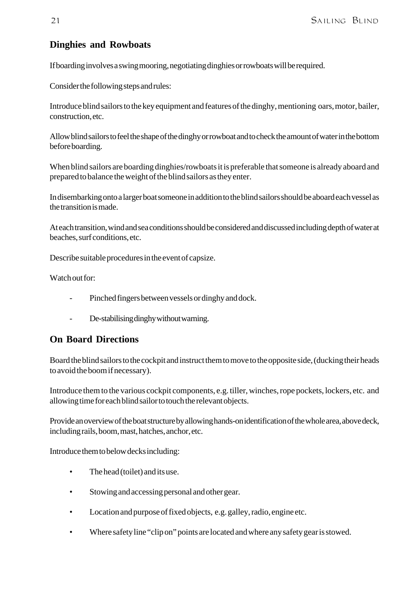#### **Dinghies and Rowboats**

If boarding involves a swing mooring, negotiating dinghies or rowboats will be required.

Consider the following steps and rules:

Introduce blind sailors to the key equipment and features of the dinghy, mentioning oars, motor, bailer, construction, etc.

Allow blind sailors to feel the shape of the dinghy or rowboat and to check the amount of water in the bottom before boarding.

When blind sailors are boarding dinghies/rowboats it is preferable that someone is already aboard and prepared to balance the weight of the blind sailors as they enter.

In disembarking onto a larger boat someone in addition to the blind sailors should be aboard each vessel as the transition is made.

At each transition, wind and sea conditions should be considered and discussed including depth of water at beaches, surf conditions, etc.

Describe suitable procedures in the event of capsize.

Watch out for:

- Pinched fingers between vessels or dinghy and dock.
- De-stabilising dinghy without warning.

#### **On Board Directions**

Board the blind sailors to the cockpit and instruct them to move to the opposite side, (ducking their heads to avoid the boom if necessary).

Introduce them to the various cockpit components, e.g. tiller, winches, rope pockets, lockers, etc. and allowing time for each blind sailor to touch the relevant objects.

Provide an overview of the boat structure by allowing hands-on identification of the whole area, above deck, including rails, boom, mast, hatches, anchor, etc.

Introduce them to below decks including:

- The head (toilet) and its use.
- Stowing and accessing personal and other gear.
- Location and purpose of fixed objects, e.g. galley, radio, engine etc.
- Where safety line "clip on" points are located and where any safety gear is stowed.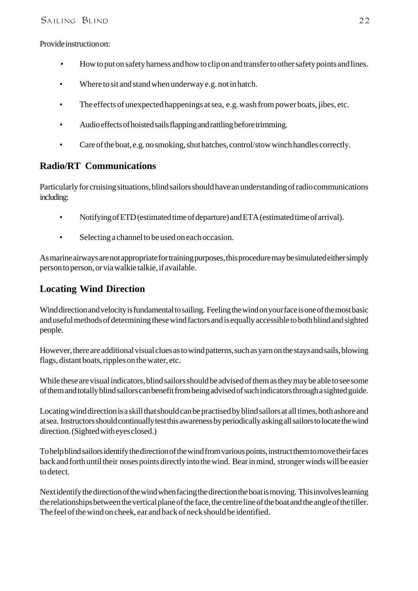Provide instruction on:

- How to put on safety harness and how to clip on and transfer to other safety points and lines.
- Where to sit and stand when underway e.g. not in hatch.
- The effects of unexpected happenings at sea, e.g. wash from power boats, jibes, etc.
- Audio effects of hoisted sails flapping and rattling before trimming.
- Care of the boat, e.g. no smoking, shut hatches, control/stow winch handles correctly.

#### **Radio/RT Communications**

Particularly for cruising situations, blind sailors should have an understanding of radio communications including:

- Notifying of ETD (estimated time of departure) and ETA (estimated time of arrival).
- Selecting a channel to be used on each occasion.

As marine airways are not appropriate for training purposes, this procedure may be simulated either simply person to person, or via walkie talkie, if available.

#### **Locating Wind Direction**

Wind direction and velocity is fundamental to sailing. Feeling the wind on your face is one of the most basic and useful methods of determining these wind factors and is equally accessible to both blind and sighted people.

However, there are additional visual clues as to wind patterns, such as yarn on the stays and sails, blowing flags, distant boats, ripples on the water, etc.

While these are visual indicators, blind sailors should be advised of them as they may be able to see some of them and totally blind sailors can benefit from being advised of such indicators through a sighted guide.

Locating wind direction is a skill that should can be practised by blind sailors at all times, both ashore and at sea. Instructors should continually test this awareness by periodically asking all sailors to locate the wind direction. (Sighted with eyes closed.)

To help blind sailors identify the direction of the wind from various points, instruct them to move their faces back and forth until their noses points directly into the wind. Bear in mind, stronger winds will be easier to detect.

Next identify the direction of the wind when facing the direction the boat is moving. This involves learning the relationships between the vertical plane of the face, the centre line of the boat and the angle of the tiller. The feel of the wind on cheek, ear and back of neck should be identified.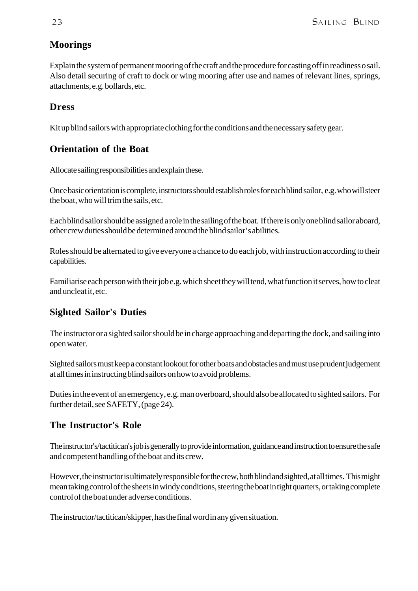#### **Moorings**

Explain the system of permanent mooring of the craft and the procedure for casting off in readiness o sail. Also detail securing of craft to dock or wing mooring after use and names of relevant lines, springs, attachments, e.g. bollards, etc.

#### **Dress**

Kit up blind sailors with appropriate clothing for the conditions and the necessary safety gear.

#### **Orientation of the Boat**

Allocate sailing responsibilities and explain these.

Once basic orientation is complete, instructors should establish roles for each blind sailor, e.g. who will steer the boat, who will trim the sails, etc.

Each blind sailor should be assigned a role in the sailing of the boat. If there is only one blind sailor aboard, other crew duties should be determined around the blind sailor's abilities.

Roles should be alternated to give everyone a chance to do each job, with instruction according to their capabilities.

Familiarise each person with their job e.g. which sheet they will tend, what function it serves, how to cleat and uncleat it, etc.

#### **Sighted Sailor's Duties**

The instructor or a sighted sailor should be in charge approaching and departing the dock, and sailing into open water.

Sighted sailors must keep a constant lookout for other boats and obstacles and must use prudent judgement at all times in instructing blind sailors on how to avoid problems.

Duties in the event of an emergency, e.g. man overboard, should also be allocated to sighted sailors. For further detail, see SAFETY, (page 24).

#### **The Instructor's Role**

The instructor's/tactitican's job is generally to provide information, guidance and instruction to ensure the safe and competent handling of the boat and its crew.

However, the instructor is ultimately responsible for the crew, both blind and sighted, at all times. This might mean taking control of the sheets in windy conditions, steering the boat in tight quarters, or taking complete control of the boat under adverse conditions.

The instructor/tactitican/skipper, has the final word in any given situation.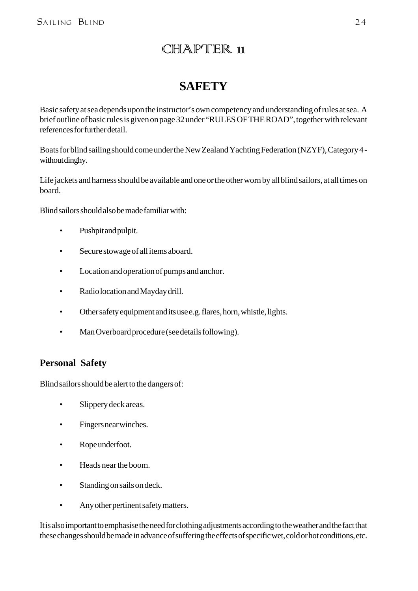## CHAPTER 11

## **SAFETY**

Basic safety at sea depends upon the instructor's own competency and understanding of rules at sea. A brief outline of basic rules is given on page 32 under "RULES OF THE ROAD", together with relevant references for further detail.

Boats for blind sailing should come under the New Zealand Yachting Federation (NZYF), Category 4 without dinghy.

Life jackets and harness should be available and one or the other worn by all blind sailors, at all times on board.

Blind sailors should also be made familiar with:

- Pushpit and pulpit.
- Secure stowage of all items aboard.
- Location and operation of pumps and anchor.
- Radio location and Mayday drill.
- Other safety equipment and its use e.g. flares, horn, whistle, lights.
- Man Overboard procedure (see details following).

#### **Personal Safety**

Blind sailors should be alert to the dangers of:

- Slippery deck areas.
- Fingers near winches.
- Rope underfoot.
- Heads near the boom.
- Standing on sails on deck.
- Any other pertinent safety matters.

It is also important to emphasise the need for clothing adjustments according to the weather and the fact that these changes should be made in advance of suffering the effects of specific wet, cold or hot conditions, etc.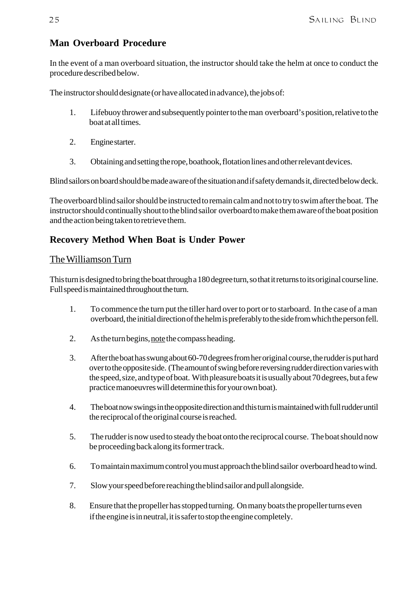#### **Man Overboard Procedure**

In the event of a man overboard situation, the instructor should take the helm at once to conduct the procedure described below.

The instructor should designate (or have allocated in advance), the jobs of:

- 1. Lifebuoy thrower and subsequently pointer to the man overboard's position, relative to the boat at all times.
- 2. Engine starter.
- 3. Obtaining and setting the rope, boathook, flotation lines and other relevant devices.

Blind sailors on board should be made aware of the situation and if safety demands it, directed below deck.

The overboard blind sailor should be instructed to remain calm and not to try to swim after the boat. The instructor should continually shout to the blind sailor overboard to make them aware of the boat position and the action being taken to retrieve them.

#### **Recovery Method When Boat is Under Power**

#### The Williamson Turn

This turn is designed to bring the boat through a 180 degree turn, so that it returns to its original course line. Full speed is maintained throughout the turn.

- 1. To commence the turn put the tiller hard over to port or to starboard. In the case of a man overboard, the initial direction of the helm is preferably to the side from which the person fell.
- 2. As the turn begins, note the compass heading.
- 3. After the boat has swung about 60-70 degrees from her original course, the rudder is put hard over to the opposite side. (The amount of swing before reversing rudder direction varies with the speed, size, and type of boat. With pleasure boats it is usually about 70 degrees, but a few practice manoeuvres will determine this for your own boat).
- 4. The boat now swings in the opposite direction and this turn is maintained with full rudder until the reciprocal of the original course is reached.
- 5. The rudder is now used to steady the boat onto the reciprocal course. The boat should now be proceeding back along its former track.
- 6. To maintain maximum control you must approach the blind sailor overboard head to wind.
- 7. Slow your speed before reaching the blind sailor and pull alongside.
- 8. Ensure that the propeller has stopped turning. On many boats the propeller turns even if the engine is in neutral, it is safer to stop the engine completely.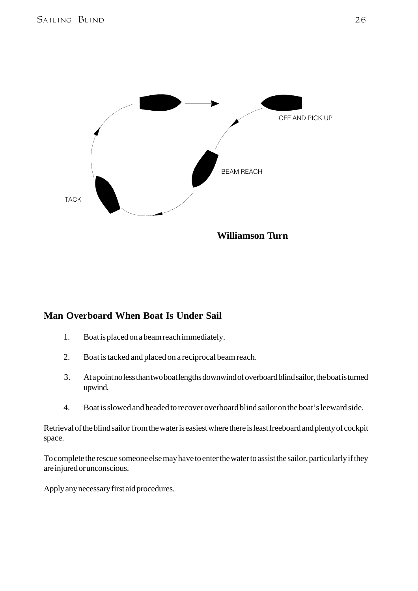

#### **Man Overboard When Boat Is Under Sail**

- 1. Boat is placed on a beam reach immediately.
- 2. Boat is tacked and placed on a reciprocal beam reach.
- 3. At a point no less than two boat lengths downwind of overboard blind sailor, the boat is turned upwind.
- 4. Boat is slowed and headed to recover overboard blind sailor on the boat's leeward side.

Retrieval of the blind sailor from the water is easiest where there is least freeboard and plenty of cockpit space.

To complete the rescue someone else may have to enter the water to assist the sailor, particularly if they are injured or unconscious.

Apply any necessary first aid procedures.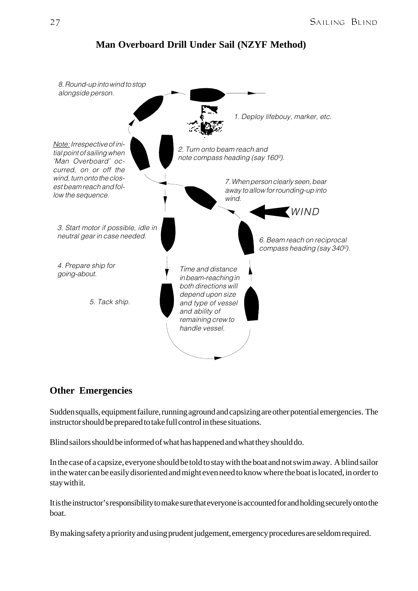

#### **Man Overboard Drill Under Sail (NZYF Method)**

#### **Other Emergencies**

Sudden squalls, equipment failure, running aground and capsizing are other potential emergencies. The instructor should be prepared to take full control in these situations.

Blind sailors should be informed of what has happened and what they should do.

In the case of a capsize, everyone should be told to stay with the boat and not swim away. A blind sailor in the water can be easily disoriented and might even need to know where the boat is located, in order to stay with it.

It is the instructor's responsibility to make sure that everyone is accounted for and holding securely onto the boat.

By making safety a priority and using prudent judgement, emergency procedures are seldom required.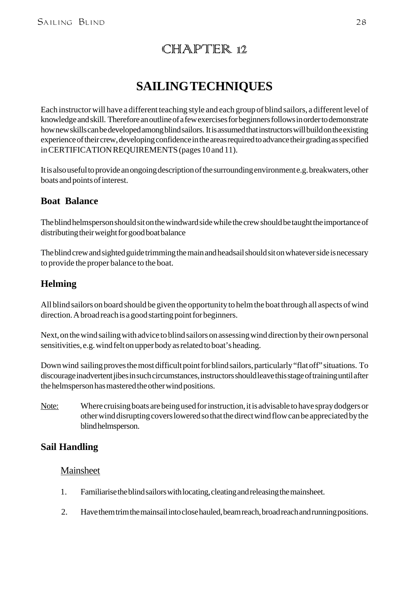## CHAPTER 12

## **SAILING TECHNIQUES**

Each instructor will have a different teaching style and each group of blind sailors, a different level of knowledge and skill. Therefore an outline of a few exercises for beginners follows in order to demonstrate how new skills can be developed among blind sailors. It is assumed that instructors will build on the existing experience of their crew, developing confidence in the areas required to advance their grading as specified in CERTIFICATION REQUIREMENTS (pages 10 and 11).

It is also useful to provide an ongoing description of the surrounding environment e.g. breakwaters, other boats and points of interest.

#### **Boat Balance**

The blind helmsperson should sit on the windward side while the crew should be taught the importance of distributing their weight for good boat balance

The blind crew and sighted guide trimming the main and headsail should sit on whatever side is necessary to provide the proper balance to the boat.

#### **Helming**

All blind sailors on board should be given the opportunity to helm the boat through all aspects of wind direction. A broad reach is a good starting point for beginners.

Next, on the wind sailing with advice to blind sailors on assessing wind direction by their own personal sensitivities, e.g. wind felt on upper body as related to boat's heading.

Down wind sailing proves the most difficult point for blind sailors, particularly "flat off" situations. To discourage inadvertent jibes in such circumstances, instructors should leave this stage of training until after the helmsperson has mastered the other wind positions.

Note: Where cruising boats are being used for instruction, it is advisable to have spray dodgers or other wind disrupting covers lowered so that the direct wind flow can be appreciated by the blind helmsperson.

#### **Sail Handling**

#### Mainsheet

- 1. Familiarise the blind sailors with locating, cleating and releasing the mainsheet.
- 2. Have them trim the mainsail into close hauled, beam reach, broad reach and running positions.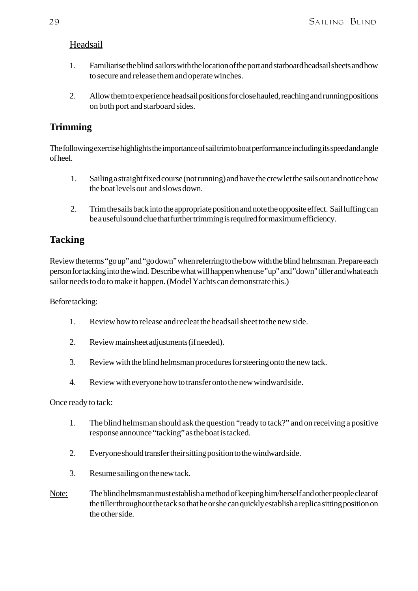#### Headsail

- 1. Familiarise the blind sailors with the location of the port and starboard headsail sheets and how to secure and release them and operate winches.
- 2. Allow them to experience headsail positions for close hauled, reaching and running positions on both port and starboard sides.

#### **Trimming**

The following exercise highlights the importance of sail trim to boat performance including its speed and angle of heel.

- 1. Sailing a straight fixed course (not running) and have the crew let the sails out and notice how the boat levels out and slows down.
- 2. Trim the sails back into the appropriate position and note the opposite effect. Sail luffing can be a useful sound clue that further trimming is required for maximum efficiency.

#### **Tacking**

Review the terms "go up" and "go down" when referring to the bow with the blind helmsman. Prepare each person for tacking into the wind. Describe what will happen when use "up" and "down" tiller and what each sailor needs to do to make it happen. (Model Yachts can demonstrate this.)

#### Before tacking:

- 1. Review how to release and recleat the headsail sheet to the new side.
- 2. Review mainsheet adjustments (if needed).
- 3. Review with the blind helmsman procedures for steering onto the new tack.
- 4. Review with everyone how to transfer onto the new windward side.

#### Once ready to tack:

- 1. The blind helmsman should ask the question "ready to tack?" and on receiving a positive response announce "tacking" as the boat is tacked.
- 2. Everyone should transfer their sitting position to the windward side.
- 3. Resume sailing on the new tack.
- Note: The blind helmsman must establish a method of keeping him/herself and other people clear of the tiller throughout the tack so that he or she can quickly establish a replica sitting position on the other side.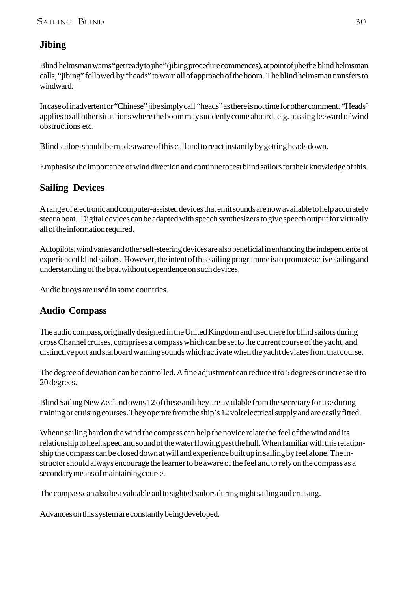#### **Jibing**

Blind helmsman warns "get ready to jibe" (jibing procedure commences), at point of jibe the blind helmsman calls, "jibing" followed by "heads" to warn all of approach of the boom. The blind helmsman transfers to windward.

In case of inadvertent or "Chinese" jibe simply call "heads" as there is not time for other comment. "Heads' applies to all other situations where the boom may suddenly come aboard, e.g. passing leeward of wind obstructions etc.

Blind sailors should be made aware of this call and to react instantly by getting heads down.

Emphasise the importance of wind direction and continue to test blind sailors for their knowledge of this.

#### **Sailing Devices**

A range of electronic and computer-assisted devices that emit sounds are now available to help accurately steer a boat. Digital devices can be adapted with speech synthesizers to give speech output for virtually all of the information required.

Autopilots, wind vanes and other self-steering devices are also beneficial in enhancing the independence of experienced blind sailors. However, the intent of this sailing programme is to promote active sailing and understanding of the boat without dependence on such devices.

Audio buoys are used in some countries.

#### **Audio Compass**

The audio compass, originally designed in the United Kingdom and used there for blind sailors during cross Channel cruises, comprises a compass which can be set to the current course of the yacht, and distinctive port and starboard warning sounds which activate when the yacht deviates from that course.

The degree of deviation can be controlled. A fine adjustment can reduce it to 5 degrees or increase it to 20 degrees.

Blind Sailing New Zealand owns 12 of these and they are available from the secretary for use during training or cruising courses. They operate from the ship's 12 volt electrical supply and are easily fitted.

Whenn sailing hard on the wind the compass can help the novice relate the feel of the wind and its relationship to heel, speed and sound of the water flowing past the hull. When familiar with this relationship the compass can be closed down at will and experience built up in sailing by feel alone. The instructor should always encourage the learner to be aware of the feel and to rely on the compass as a secondary means of maintaining course.

The compass can also be a valuable aid to sighted sailors during night sailing and cruising.

Advances on this system are constantly being developed.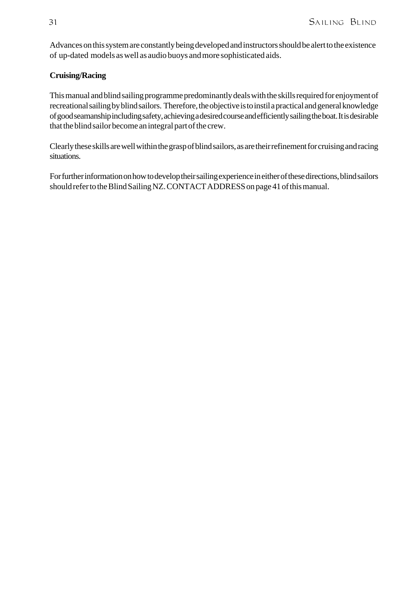Advances on this system are constantly being developed and instructors should be alert to the existence of up-dated models as well as audio buoys and more sophisticated aids.

#### **Cruising/Racing**

This manual and blind sailing programme predominantly deals with the skills required for enjoyment of recreational sailing by blind sailors. Therefore, the objective is to instil a practical and general knowledge of good seamanship including safety, achieving a desired course and efficiently sailing the boat. It is desirable that the blind sailor become an integral part of the crew.

Clearly these skills are well within the grasp of blind sailors, as are their refinement for cruising and racing situations.

For further information on how to develop their sailing experience in either of these directions, blind sailors should refer to the Blind Sailing NZ. CONTACT ADDRESS on page 41 of this manual.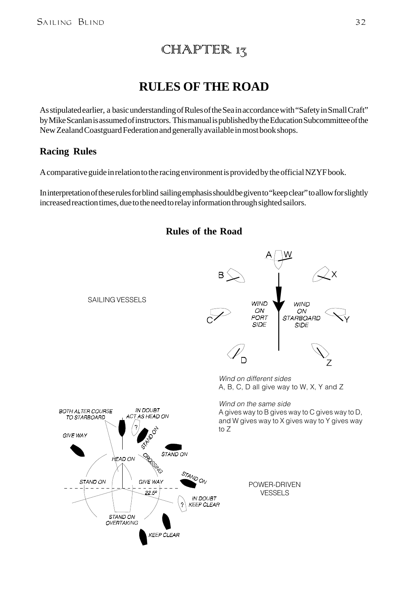## $CHAMPTER 13$

## **RULES OF THE ROAD**

As stipulated earlier, a basic understanding of Rules of the Sea in accordance with "Safety in Small Craft" by Mike Scanlan is assumed of instructors. This manual is published by the Education Subcommittee of the New Zealand Coastguard Federation and generally available in most book shops.

#### **Racing Rules**

A comparative guide in relation to the racing environment is provided by the official NZYF book.

In interpretation of these rules for blind sailing emphasis should be given to "keep clear" to allow for slightly increased reaction times, due to the need to relay information through sighted sailors.



**Rules of the Road**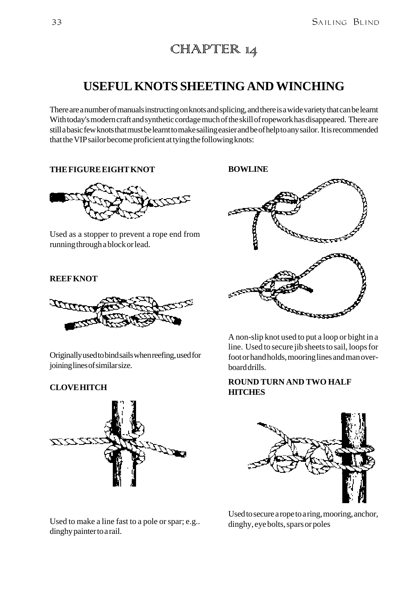## CHAPTER 14

## **USEFUL KNOTS SHEETING AND WINCHING**

There are a number of manuals instructing on knots and splicing, and there is a wide variety that can be learnt With today's modern craft and synthetic cordage much of the skill of ropework has disappeared. There are still a basic few knots that must be learnt to make sailing easier and be of help to any sailor. It is recommended that the VIP sailor become proficient at tying the following knots:

**THE FIGURE EIGHT KNOT**



Used as a stopper to prevent a rope end from running through a block or lead.

#### **REEF KNOT**



Originally used to bind sails when reefing, used for joining lines of similar size.

#### **CLOVE HITCH**



Used to make a line fast to a pole or spar; e.g.. dinghy painter to a rail.

**BOWLINE**



A non-slip knot used to put a loop or bight in a line. Used to secure jib sheets to sail, loops for foot or hand holds, mooring lines and man overboard drills.

#### **ROUND TURN AND TWO HALF HITCHES**



Used to secure a rope to a ring, mooring, anchor, dinghy, eye bolts, spars or poles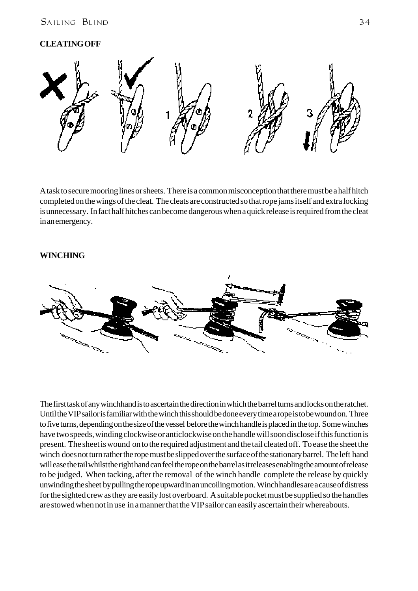#### SAILING BLIND 34

#### **CLEATING OFF**



A task to secure mooring lines or sheets. There is a common misconception that there must be a half hitch completed on the wings of the cleat. The cleats are constructed so that rope jams itself and extra locking is unnecessary. In fact half hitches can become dangerous when a quick release is required from the cleat in an emergency.

#### **WINCHING**



The first task of any winchhand is to ascertain the direction in which the barrel turns and locks on the ratchet. Until the VIP sailor is familiar with the winch this should be done every time a rope is to be wound on. Three to five turns, depending on the size of the vessel before the winch handle is placed in the top. Some winches have two speeds, winding clockwise or anticlockwise on the handle will soon disclose if this function is present. The sheet is wound on to the required adjustment and the tail cleated off. To ease the sheet the winch does not turn rather the rope must be slipped over the surface of the stationary barrel. The left hand will ease the tail whilst the right hand can feel the rope on the barrel as it releases enabling the amount of release to be judged. When tacking, after the removal of the winch handle complete the release by quickly unwinding the sheet by pulling the rope upward in an uncoiling motion. Winch handles are a cause of distress for the sighted crew as they are easily lost overboard. A suitable pocket must be supplied so the handles are stowed when not in use in a manner that the VIP sailor can easily ascertain their whereabouts.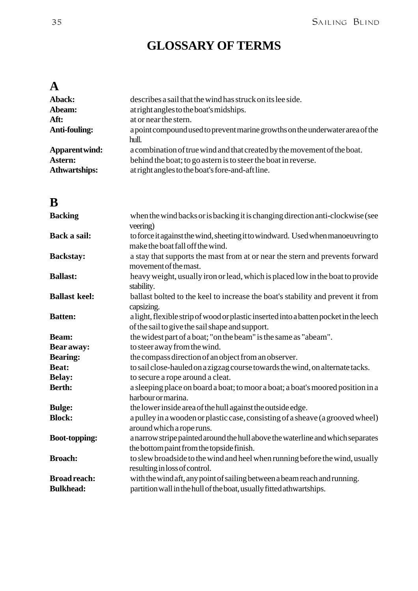## **GLOSSARY OF TERMS**

## **A**

| Aback:               | describes a sail that the wind has struck on its lee side.                             |
|----------------------|----------------------------------------------------------------------------------------|
| Abeam:               | at right angles to the boat's midships.                                                |
| Aft:                 | at or near the stern.                                                                  |
| Anti-fouling:        | a point compound used to prevent marine growths on the underwater area of the<br>hull. |
| Apparent wind:       | a combination of true wind and that created by the movement of the boat.               |
| Astern:              | behind the boat; to go astern is to steer the boat in reverse.                         |
| <b>Athwartships:</b> | at right angles to the boat's fore-and-aft line.                                       |

## **B**

| <b>Backing</b>       | when the wind backs or is backing it is changing direction anti-clockwise (see<br>veering)                                               |
|----------------------|------------------------------------------------------------------------------------------------------------------------------------------|
| Back a sail:         | to force it against the wind, sheeting it to windward. Used when manoeuvring to<br>make the boat fall off the wind.                      |
| <b>Backstay:</b>     | a stay that supports the mast from at or near the stern and prevents forward<br>movement of the mast.                                    |
| <b>Ballast:</b>      | heavy weight, usually iron or lead, which is placed low in the boat to provide<br>stability.                                             |
| <b>Ballast keel:</b> | ballast bolted to the keel to increase the boat's stability and prevent it from<br>capsizing.                                            |
| <b>Batten:</b>       | a light, flexible strip of wood or plastic inserted into a batten pocket in the leech<br>of the sail to give the sail shape and support. |
| Beam:                | the widest part of a boat; "on the beam" is the same as "abeam".                                                                         |
| Bear away:           | to steer away from the wind.                                                                                                             |
| <b>Bearing:</b>      | the compass direction of an object from an observer.                                                                                     |
| Beat:                | to sail close-hauled on a zigzag course towards the wind, on alternate tacks.                                                            |
| <b>Belay:</b>        | to secure a rope around a cleat.                                                                                                         |
| <b>Berth:</b>        | a sleeping place on board a boat; to moor a boat; a boat's moored position in a<br>harbour or marina.                                    |
| <b>Bulge:</b>        | the lower inside area of the hull against the outside edge.                                                                              |
| <b>Block:</b>        | a pulley in a wooden or plastic case, consisting of a sheave (a grooved wheel)<br>around which a rope runs.                              |
| <b>Boot-topping:</b> | a narrow stripe painted around the hull above the waterline and which separates<br>the bottom paint from the topside finish.             |
| <b>Broach:</b>       | to slew broadside to the wind and heel when running before the wind, usually<br>resulting in loss of control.                            |
| <b>Broad reach:</b>  | with the wind aft, any point of sailing between a beam reach and running.                                                                |
| <b>Bulkhead:</b>     | partition wall in the hull of the boat, usually fitted athwartships.                                                                     |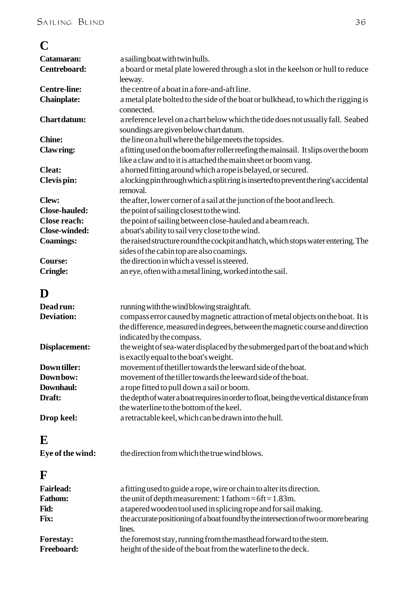| C                    |                                                                                        |
|----------------------|----------------------------------------------------------------------------------------|
| Catamaran:           | a sailing boat with twin hulls.                                                        |
| Centreboard:         | a board or metal plate lowered through a slot in the keelson or hull to reduce         |
|                      | leeway.                                                                                |
| <b>Centre-line:</b>  | the centre of a boat in a fore-and-aft line.                                           |
| <b>Chainplate:</b>   | a metal plate bolted to the side of the boat or bulkhead, to which the rigging is      |
|                      | connected.                                                                             |
| <b>Chartdatum:</b>   | a reference level on a chart below which the tide does not usually fall. Seabed        |
|                      | soundings are given below chart datum.                                                 |
| <b>Chine:</b>        | the line on a hull where the bilge meets the topsides.                                 |
| <b>Clawring:</b>     | a fitting used on the boom after roller reefing the mainsail. It slips over the boom   |
|                      | like a claw and to it is attached the main sheet or boom vang.                         |
| <b>Cleat:</b>        | a horned fitting around which a rope is belayed, or secured.                           |
| Clevis pin:          | a locking pin through which a split ring is inserted to prevent the ring's accidental  |
|                      | removal.                                                                               |
| <b>Clew:</b>         | the after, lower corner of a sail at the junction of the boot and leech.               |
| <b>Close-hauled:</b> | the point of sailing closest to the wind.                                              |
| <b>Close reach:</b>  | the point of sailing between close-hauled and a beam reach.                            |
| <b>Close-winded:</b> | a boat's ability to sail very close to the wind.                                       |
| <b>Coamings:</b>     | the raised structure round the cockpit and hatch, which stops water entering. The      |
|                      | sides of the cabin top are also coamings.                                              |
| <b>Course:</b>       | the direction in which a vessel is steered.                                            |
| <b>Cringle:</b>      | an eye, often with a metal lining, worked into the sail.                               |
| D                    |                                                                                        |
| Dead run:            | running with the wind blowing straight aft.                                            |
| <b>Deviation:</b>    | compass error caused by magnetic attraction of metal objects on the boat. It is        |
|                      | the difference, measured in degrees, between the magnetic course and direction         |
|                      | indicated by the compass.                                                              |
| Displacement:        | the weight of sea-water displaced by the submerged part of the boat and which          |
|                      | is exactly equal to the boat's weight.                                                 |
| Down tiller:         | movement of the tiller towards the leeward side of the boat.                           |
| Downbow:             | movement of the tiller towards the leeward side of the boat.                           |
| Downhaul:            | a rope fitted to pull down a sail or boom.                                             |
| Draft:               | the depth of water a boat requires in order to float, being the vertical distance from |
|                      | the waterline to the bottom of the keel.                                               |
| Drop keel:           | a retractable keel, which can be drawn into the hull.                                  |
| ${\bf E}$            |                                                                                        |
|                      |                                                                                        |
| Eye of the wind:     | the direction from which the true wind blows.                                          |
| $\mathbf F$          |                                                                                        |
| <b>Fairlead:</b>     | a fitting used to guide a rope, wire or chain to alter its direction.                  |
| <b>Fathom:</b>       | the unit of depth measurement: 1 fathom = $6ft = 1.83m$ .                              |
| Fid:                 | a tapered wooden tool used in splicing rope and for sail making.                       |
| Fix:                 | the accurate positioning of a boat found by the intersection of two or more bearing    |
|                      | lines.                                                                                 |
| <b>Forestay:</b>     | the foremost stay, running from the masthead forward to the stem.                      |
| Freeboard:           | height of the side of the boat from the waterline to the deck.                         |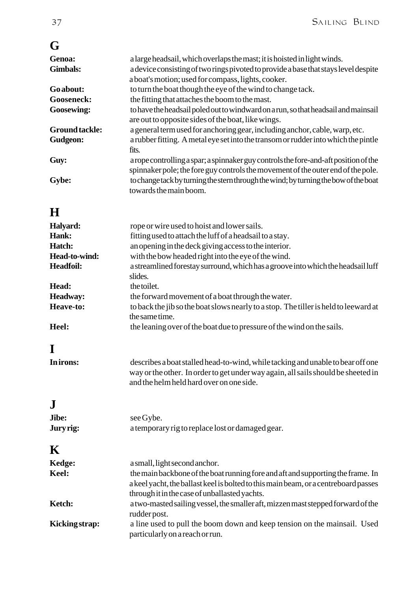## **G**

| Genoa:                | a large headsail, which overlaps the mast; it is hoisted in light winds.             |
|-----------------------|--------------------------------------------------------------------------------------|
| <b>Gimbals:</b>       | a device consisting of two rings pivoted to provide a base that stays level despite  |
|                       | a boat's motion; used for compass, lights, cooker.                                   |
| Go about:             | to turn the boat though the eye of the wind to change tack.                          |
| <b>Gooseneck:</b>     | the fitting that attaches the boom to the mast.                                      |
| <b>Goosewing:</b>     | to have the headsail poled out to windward on a run, so that headsail and mainsail   |
|                       | are out to opposite sides of the boat, like wings.                                   |
| <b>Ground tackle:</b> | a general term used for anchoring gear, including anchor, cable, warp, etc.          |
| Gudgeon:              | a rubber fitting. A metal eye set into the transom or rudder into which the pintle   |
|                       | fits.                                                                                |
| Guy:                  | a rope controlling a spar; a spinnaker guy controls the fore-and-aft position of the |
|                       | spinnaker pole; the fore guy controls the movement of the outer end of the pole.     |
| Gybe:                 | to change tack by turning the stern through the wind; by turning the bow of the boat |
|                       | towards the main boom.                                                               |

## **H**

| Halyard:         | rope or wire used to hoist and lower sails.                                          |
|------------------|--------------------------------------------------------------------------------------|
| Hank:            | fitting used to attach the luff of a headsail to a stay.                             |
| Hatch:           | an opening in the deck giving access to the interior.                                |
| Head-to-wind:    | with the bow headed right into the eye of the wind.                                  |
| <b>Headfoil:</b> | a streamlined forestay surround, which has a groove into which the headsail luff     |
|                  | slides.                                                                              |
| Head:            | the toilet.                                                                          |
| <b>Headway:</b>  | the forward movement of a boat through the water.                                    |
| Heave-to:        | to back the jib so the boat slows nearly to a stop. The tiller is held to leeward at |
|                  | the same time.                                                                       |
| Heel:            | the leaning over of the boat due to pressure of the wind on the sails.               |

## **I**

| In irons: | describes a boat stalled head-to-wind, while tacking and unable to bear off one   |
|-----------|-----------------------------------------------------------------------------------|
|           | way or the other. In order to get under way again, all sails should be sheeted in |
|           | and the helm held hard over on one side.                                          |

## **J**

| Jibe:            | see Gybe.                                        |
|------------------|--------------------------------------------------|
| <b>Jury rig:</b> | a temporary rig to replace lost or damaged gear. |

## **K**

| $\bf{11}$      |                                                                                     |
|----------------|-------------------------------------------------------------------------------------|
| Kedge:         | a small, light second anchor.                                                       |
| Keel:          | the main backbone of the boat running fore and aft and supporting the frame. In     |
|                | a keel yacht, the ballast keel is bolted to this main beam, or a centreboard passes |
|                | through it in the case of unballasted yachts.                                       |
| Ketch:         | a two-masted sailing vessel, the smaller aft, mizzen mast stepped forward of the    |
|                | rudder post.                                                                        |
| Kicking strap: | a line used to pull the boom down and keep tension on the mainsail. Used            |
|                | particularly on a reach or run.                                                     |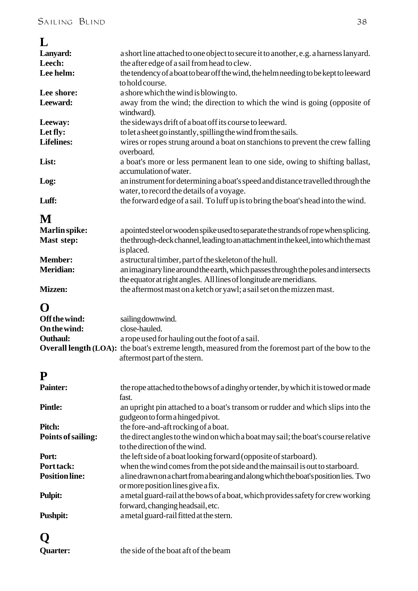#### **L**

| ┚                     |                                                                                                           |  |  |  |
|-----------------------|-----------------------------------------------------------------------------------------------------------|--|--|--|
| Lanyard:              | a short line attached to one object to secure it to another, e.g. a harness lanyard.                      |  |  |  |
| Leech:                | the after edge of a sail from head to clew.                                                               |  |  |  |
| Lee helm:             | the tendency of a boat to bear off the wind, the helm needing to be kept to leeward                       |  |  |  |
|                       | to hold course.                                                                                           |  |  |  |
| Lee shore:            | a shore which the wind is blowing to.                                                                     |  |  |  |
| Leeward:              |                                                                                                           |  |  |  |
|                       | away from the wind; the direction to which the wind is going (opposite of                                 |  |  |  |
|                       | windward).                                                                                                |  |  |  |
| Leeway:               | the sideways drift of a boat off its course to leeward.                                                   |  |  |  |
| Let fly:              | to let a sheet go instantly, spilling the wind from the sails.                                            |  |  |  |
| <b>Lifelines:</b>     | wires or ropes strung around a boat on stanchions to prevent the crew falling                             |  |  |  |
|                       | overboard.                                                                                                |  |  |  |
| List:                 | a boat's more or less permanent lean to one side, owing to shifting ballast,                              |  |  |  |
|                       | accumulation of water.                                                                                    |  |  |  |
| Log:                  | an instrument for determining a boat's speed and distance travelled through the                           |  |  |  |
|                       | water, to record the details of a voyage.                                                                 |  |  |  |
|                       |                                                                                                           |  |  |  |
| Luff:                 | the forward edge of a sail. To luff up is to bring the boat's head into the wind.                         |  |  |  |
|                       |                                                                                                           |  |  |  |
| M                     |                                                                                                           |  |  |  |
| Marlin spike:         | a pointed steel or wooden spike used to separate the strands of rope when splicing.                       |  |  |  |
| Mast step:            | the through-deck channel, leading to an attachment in the keel, into which the mast                       |  |  |  |
|                       | is placed.                                                                                                |  |  |  |
| <b>Member:</b>        | a structural timber, part of the skeleton of the hull.                                                    |  |  |  |
| <b>Meridian:</b>      | an imaginary line around the earth, which passes through the poles and intersects                         |  |  |  |
|                       | the equator at right angles. All lines of longitude are meridians.                                        |  |  |  |
| <b>Mizzen:</b>        | the aftermost mast on a ketch or yawl; a sail set on the mizzen mast.                                     |  |  |  |
|                       |                                                                                                           |  |  |  |
| O                     |                                                                                                           |  |  |  |
|                       |                                                                                                           |  |  |  |
| Off the wind:         | sailing downwind.                                                                                         |  |  |  |
| On the wind:          | close-hauled.                                                                                             |  |  |  |
| <b>Outhaul:</b>       | a rope used for hauling out the foot of a sail.                                                           |  |  |  |
|                       | <b>Overall length (LOA):</b> the boat's extreme length, measured from the foremost part of the bow to the |  |  |  |
|                       | aftermost part of the stern.                                                                              |  |  |  |
|                       |                                                                                                           |  |  |  |
| P                     |                                                                                                           |  |  |  |
| <b>Painter:</b>       | the rope attached to the bows of a dinghy or tender, by which it is towed or made                         |  |  |  |
|                       | fast.                                                                                                     |  |  |  |
| <b>Pintle:</b>        | an upright pin attached to a boat's transom or rudder and which slips into the                            |  |  |  |
|                       |                                                                                                           |  |  |  |
|                       | gudgeon to form a hinged pivot.                                                                           |  |  |  |
| Pitch:                | the fore-and-aft rocking of a boat.                                                                       |  |  |  |
| Points of sailing:    | the direct angles to the wind on which a boat may sail; the boat's course relative                        |  |  |  |
|                       | to the direction of the wind.                                                                             |  |  |  |
| Port:                 | the left side of a boat looking forward (opposite of starboard).                                          |  |  |  |
| Port tack:            | when the wind comes from the pot side and the mainsail is out to starboard.                               |  |  |  |
| <b>Position line:</b> | a line drawn on a chart from a bearing and along which the boat's position lies. Two                      |  |  |  |
|                       | or more position lines give a fix.                                                                        |  |  |  |
| <b>Pulpit:</b>        | a metal guard-rail at the bows of a boat, which provides safety for crew working                          |  |  |  |
|                       | forward, changing headsail, etc.                                                                          |  |  |  |
|                       |                                                                                                           |  |  |  |
| <b>Pushpit:</b>       | a metal guard-rail fitted at the stern.                                                                   |  |  |  |
|                       |                                                                                                           |  |  |  |
|                       |                                                                                                           |  |  |  |

**Quarter:** the side of the boat aft of the beam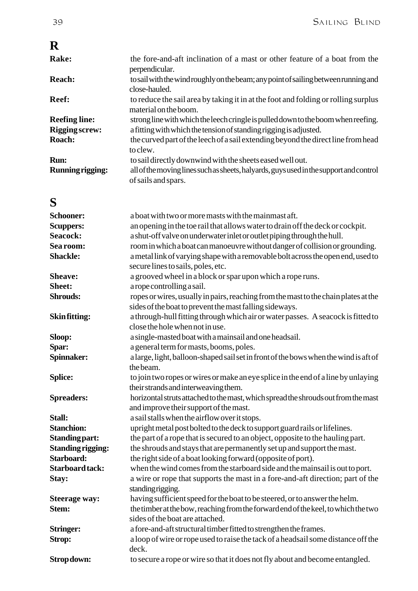## **R**

| Rake:                   | the fore-and-aft inclination of a mast or other feature of a boat from the<br>perpendicular.                  |
|-------------------------|---------------------------------------------------------------------------------------------------------------|
| <b>Reach:</b>           | to sail with the wind roughly on the beam; any point of sailing between running and<br>close-hauled.          |
| Reef:                   | to reduce the sail area by taking it in at the foot and folding or rolling surplus<br>material on the boom.   |
| <b>Reefing line:</b>    | strong line with which the leech cringle is pulled down to the boom when reefing.                             |
| <b>Rigging screw:</b>   | a fitting with which the tension of standing rigging is adjusted.                                             |
| Roach:                  | the curved part of the leech of a sail extending beyond the direct line from head<br>to clew.                 |
| Run:                    | to sail directly downwind with the sheets eased well out.                                                     |
| <b>Running rigging:</b> | all of the moving lines such as sheets, halyards, guys used in the support and control<br>of sails and spars. |

## **S**

| <b>Schooner:</b>         | a boat with two or more masts with the mainmast aft.                                 |
|--------------------------|--------------------------------------------------------------------------------------|
| <b>Scuppers:</b>         | an opening in the toe rail that allows water to drain off the deck or cockpit.       |
| <b>Seacock:</b>          | a shut-off valve on underwater inlet or outlet piping through the hull.              |
| Sea room:                | room in which a boat can manoeuvre without danger of collision or grounding.         |
| <b>Shackle:</b>          | a metal link of varying shape with a removable bolt across the open end, used to     |
|                          | secure lines to sails, poles, etc.                                                   |
| Sheave:                  | a grooved wheel in a block or spar upon which a rope runs.                           |
| <b>Sheet:</b>            | a rope controlling a sail.                                                           |
| <b>Shrouds:</b>          | ropes or wires, usually in pairs, reaching from the mast to the chain plates at the  |
|                          | sides of the boat to prevent the mast falling sideways.                              |
| Skin fitting:            | a through-hull fitting through which air or water passes. A seacock is fitted to     |
|                          | close the hole when not in use.                                                      |
| Sloop:                   | a single-masted boat with a mainsail and one headsail.                               |
| Spar:                    | a general term for masts, booms, poles.                                              |
| Spinnaker:               | a large, light, balloon-shaped sail set in front of the bows when the wind is aft of |
|                          | the beam.                                                                            |
| <b>Splice:</b>           | to join two ropes or wires or make an eye splice in the end of a line by unlaying    |
|                          | their strands and interweaving them.                                                 |
| <b>Spreaders:</b>        | horizontal struts attached to the mast, which spread the shrouds out from the mast   |
|                          | and improve their support of the mast.                                               |
| Stall:                   | a sail stalls when the airflow over it stops.                                        |
| <b>Stanchion:</b>        | upright metal post bolted to the deck to support guard rails or lifelines.           |
| <b>Standing part:</b>    | the part of a rope that is secured to an object, opposite to the hauling part.       |
| <b>Standing rigging:</b> | the shrouds and stays that are permanently set up and support the mast.              |
| Starboard:               | the right side of a boat looking forward (opposite of port).                         |
| <b>Starboard tack:</b>   | when the wind comes from the starboard side and the mainsail is out to port.         |
| Stay:                    | a wire or rope that supports the mast in a fore-and-aft direction; part of the       |
|                          | standing rigging.                                                                    |
| <b>Steerage way:</b>     | having sufficient speed for the boat to be steered, or to answer the helm.           |
| Stem:                    | the timber at the bow, reaching from the forward end of the keel, to which the two   |
|                          | sides of the boat are attached.                                                      |
| <b>Stringer:</b>         | a fore-and-aft structural timber fitted to strengthen the frames.                    |
| <b>Strop:</b>            | a loop of wire or rope used to raise the tack of a headsail some distance off the    |
|                          | deck.                                                                                |
| Strop down:              | to secure a rope or wire so that it does not fly about and become entangled.         |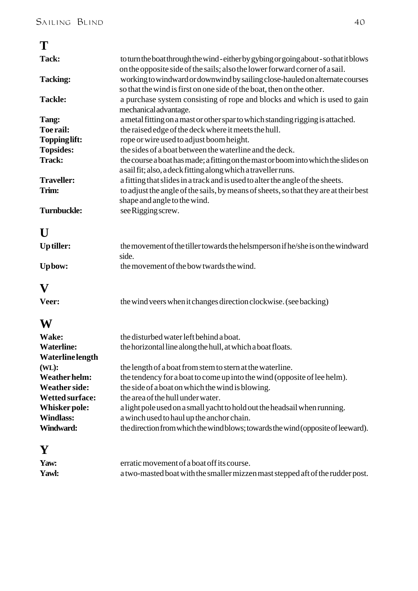| T                       |                                                                                                                                                                   |
|-------------------------|-------------------------------------------------------------------------------------------------------------------------------------------------------------------|
| Tack:                   | to turn the boat through the wind-either by gybing or going about-so that it blows<br>on the opposite side of the sails; also the lower forward corner of a sail. |
| <b>Tacking:</b>         | working to windward or downwind by sailing close-hauled on alternate courses<br>so that the wind is first on one side of the boat, then on the other.             |
| <b>Tackle:</b>          | a purchase system consisting of rope and blocks and which is used to gain<br>mechanical advantage.                                                                |
| Tang:                   | a metal fitting on a mast or other spar to which standing rigging is attached.                                                                                    |
| Toe rail:               | the raised edge of the deck where it meets the hull.                                                                                                              |
| <b>Toppinglift:</b>     | rope or wire used to adjust boom height.                                                                                                                          |
| <b>Topsides:</b>        | the sides of a boat between the waterline and the deck.                                                                                                           |
| <b>Track:</b>           | the course a boat has made; a fitting on the mast or boom into which the slides on<br>a sail fit; also, a deck fitting along which a traveller runs.              |
| <b>Traveller:</b>       | a fitting that slides in a track and is used to alter the angle of the sheets.                                                                                    |
| Trim:                   | to adjust the angle of the sails, by means of sheets, so that they are at their best<br>shape and angle to the wind.                                              |
| <b>Turnbuckle:</b>      | see Rigging screw.                                                                                                                                                |
| $\mathbf{U}$            |                                                                                                                                                                   |
| Up tiller:              | the movement of the tiller towards the helsmperson if he/she is on the windward<br>side.                                                                          |
| Upbow:                  | the movement of the bow twards the wind.                                                                                                                          |
| $\mathbf{V}$            |                                                                                                                                                                   |
| Veer:                   | the wind veers when it changes direction clockwise. (see backing)                                                                                                 |
| W                       |                                                                                                                                                                   |
| Wake:                   | the disturbed water left behind a boat.                                                                                                                           |
| <b>Waterline:</b>       | the horizontal line along the hull, at which a boat floats.                                                                                                       |
| <b>Waterline</b> length |                                                                                                                                                                   |
| (WL):                   |                                                                                                                                                                   |
|                         | the length of a boat from stem to stern at the waterline.                                                                                                         |
| <b>Weather helm:</b>    | the tendency for a boat to come up into the wind (opposite of lee helm).                                                                                          |

## **Y**

| __           |                                                                                |
|--------------|--------------------------------------------------------------------------------|
| Yaw:         | erratic movement of a boat off its course.                                     |
| <b>Yawl:</b> | a two-masted boat with the smaller mizzen mast stepped aft of the rudder post. |

the direction from which the wind blows; towards the wind (opposite of leeward).

**Whisker pole:** a light pole used on a small yacht to hold out the headsail when running.<br>Windlass: a winch used to haul up the anchor chain.

**Wetted surface:** the area of the hull under water.<br> **Whisker pole:** a light pole used on a small yacht

**Windlass:** a winch used to haul up the anchor chain.<br> **Windward:** the direction from which the wind blows: to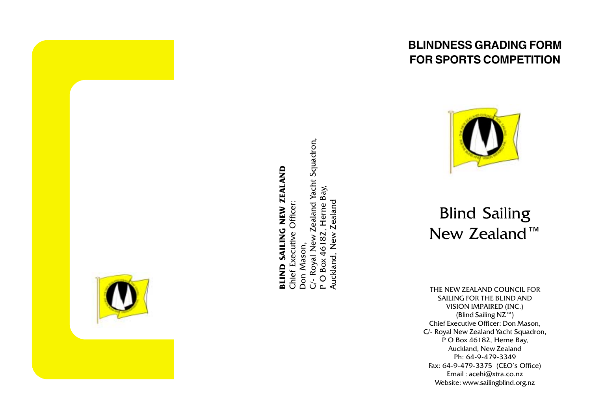

# **BLIND SAILING NEW ZEALAND** Chief Executive Officer:

C/- Royal New Zealand Yacht Squadron, Herne Bay, Auckland, New Zealand P O Box 46182, Don Mason,

## **BLINDNESS GRADING FORM FOR SPORTS COMPETITION**



## **Blind Sailing** New Zealand<sup>™</sup>

THE NEW ZEALAND COUNCIL FOR SAILING FOR THE BLIND AND **VISION IMPAIRED (INC.)** (Blind Sailing NZ<sup>™</sup>) Chief Executive Officer: Don Mason, C/- Royal New Zealand Yacht Squadron, P O Box 46182, Herne Bay, Auckland, New Zealand Ph: 64-9-479-3349 Fax: 64-9-479-3375 (CEO's Office) Email: acehi@xtra.co.nz Website: www.sailingblind.org.nz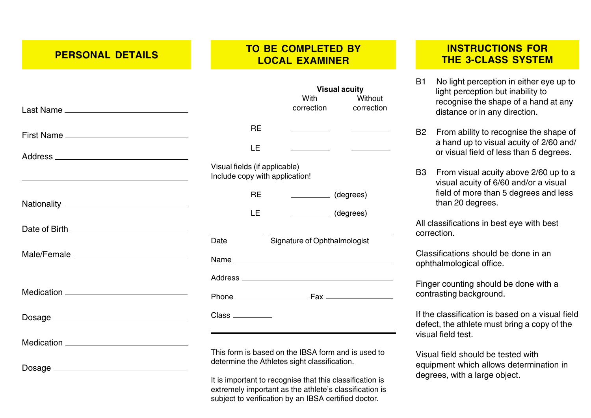**PERSONAL DETAILS** 

#### **TO BE COMPLETED BY LOCAL EXAMINER**

|                                                                                                                      |                                                                 |           | <b>Visual acuity</b><br>With<br>correction                                                         | Without<br>correction               |
|----------------------------------------------------------------------------------------------------------------------|-----------------------------------------------------------------|-----------|----------------------------------------------------------------------------------------------------|-------------------------------------|
|                                                                                                                      |                                                                 |           |                                                                                                    |                                     |
|                                                                                                                      |                                                                 | <b>RE</b> |                                                                                                    |                                     |
|                                                                                                                      |                                                                 | LE        |                                                                                                    | <u> 1989 - Jan Barbara Barat, p</u> |
| <u> 1989 - Johann Stein, marwolaethau a bhann an t-Amhain an t-Amhain an t-Amhain an t-Amhain an t-Amhain an t-A</u> | Visual fields (if applicable)<br>Include copy with application! |           |                                                                                                    |                                     |
|                                                                                                                      |                                                                 | <b>RE</b> | (degrees)                                                                                          |                                     |
|                                                                                                                      |                                                                 | LE.       | $\frac{\ }{\ }$ (degrees)                                                                          |                                     |
| Date of Birth ___________________________________                                                                    |                                                                 |           |                                                                                                    |                                     |
|                                                                                                                      | Date                                                            |           | Signature of Ophthalmologist                                                                       |                                     |
| Male/Female __________________________________                                                                       |                                                                 |           |                                                                                                    |                                     |
|                                                                                                                      |                                                                 |           |                                                                                                    |                                     |
|                                                                                                                      |                                                                 |           |                                                                                                    |                                     |
|                                                                                                                      |                                                                 |           |                                                                                                    |                                     |
|                                                                                                                      |                                                                 |           |                                                                                                    |                                     |
| Dosage __________________________________                                                                            |                                                                 |           | This form is based on the IBSA form and is used to<br>determine the Athletes sight classification. |                                     |
|                                                                                                                      |                                                                 |           | It is important to recognise that this classification is                                           |                                     |

It is important to recognise that this classification is extremely important as the athlete's classification is subject to verification by an IBSA certified doctor.

#### **INSTRUCTIONS FOR THE 3-CLASS SYSTEM**

No light perception in either eye up to  $B1$ light perception but inability to recognise the shape of a hand at any distance or in any direction.

B2 From ability to recognise the shape of a hand up to visual acuity of 2/60 and/ or visual field of less than 5 degrees.

B3 From visual acuity above 2/60 up to a visual acuity of 6/60 and/or a visual field of more than 5 degrees and less than 20 degrees.

All classifications in best eye with best correction.

Classifications should be done in an ophthalmological office.

Finger counting should be done with a contrasting background.

If the classification is based on a visual field defect, the athlete must bring a copy of the visual field test.

Visual field should be tested with equipment which allows determination in degrees, with a large object.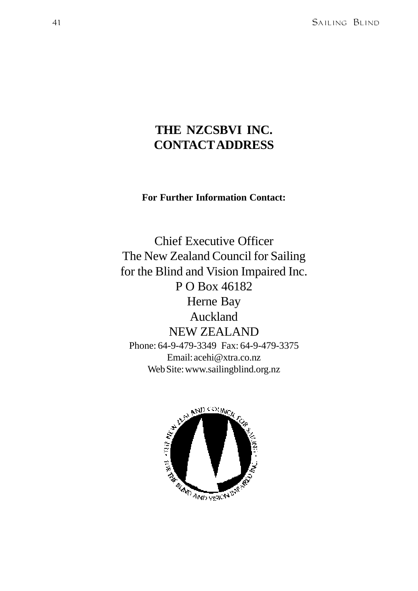## **THE NZCSBVI INC. CONTACT ADDRESS**

#### **For Further Information Contact:**

Chief Executive Officer The New Zealand Council for Sailing for the Blind and Vision Impaired Inc. P O Box 46182 Herne Bay Auckland NEW ZEALAND Phone: 64-9-479-3349 Fax: 64-9-479-3375 Email: acehi@xtra.co.nz Web Site: www.sailingblind.org.nz

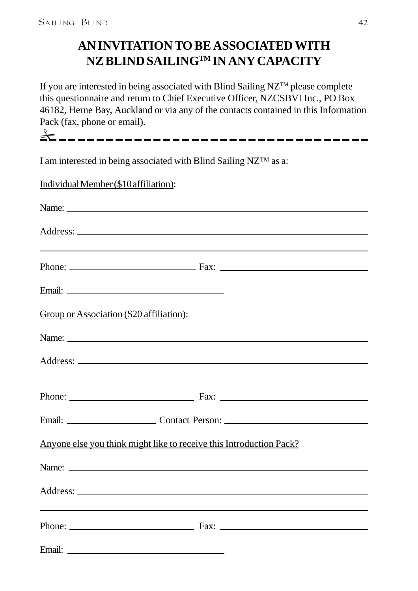## **AN INVITATION TO BE ASSOCIATED WITH NZ BLIND SAILINGTM IN ANY CAPACITY**

If you are interested in being associated with Blind Sailing NZTM please complete this questionnaire and return to Chief Executive Officer, NZCSBVI Inc., PO Box 46182, Herne Bay, Auckland or via any of the contacts contained in this Information Pack (fax, phone or email).

| I am interested in being associated with Blind Sailing NZTM as a:                                                                                                                                                                   |                                                                                                                                                                                                                                |
|-------------------------------------------------------------------------------------------------------------------------------------------------------------------------------------------------------------------------------------|--------------------------------------------------------------------------------------------------------------------------------------------------------------------------------------------------------------------------------|
| Individual Member (\$10 affiliation):                                                                                                                                                                                               |                                                                                                                                                                                                                                |
| Name:                                                                                                                                                                                                                               |                                                                                                                                                                                                                                |
|                                                                                                                                                                                                                                     |                                                                                                                                                                                                                                |
|                                                                                                                                                                                                                                     | <u> 1989 - Johann Stoff, deutscher Stoff, der Stoff, der Stoff, der Stoff, der Stoff, der Stoff, der Stoff, der S</u>                                                                                                          |
| Email: <u>Discovered</u> Construction of the Construction of the Construction of the Construction of the Construction of the Construction of the Construction of the Construction of the Construction of the Construction of the Co |                                                                                                                                                                                                                                |
| Group or Association (\$20 affiliation):                                                                                                                                                                                            |                                                                                                                                                                                                                                |
|                                                                                                                                                                                                                                     | Name: Name and the set of the set of the set of the set of the set of the set of the set of the set of the set of the set of the set of the set of the set of the set of the set of the set of the set of the set of the set o |
|                                                                                                                                                                                                                                     |                                                                                                                                                                                                                                |
|                                                                                                                                                                                                                                     | <u> 1989 - Jan Barbara, martxa al III-lea (h. 1989).</u>                                                                                                                                                                       |
|                                                                                                                                                                                                                                     |                                                                                                                                                                                                                                |
|                                                                                                                                                                                                                                     | Anyone else you think might like to receive this Introduction Pack?                                                                                                                                                            |
|                                                                                                                                                                                                                                     |                                                                                                                                                                                                                                |
|                                                                                                                                                                                                                                     |                                                                                                                                                                                                                                |
|                                                                                                                                                                                                                                     |                                                                                                                                                                                                                                |
|                                                                                                                                                                                                                                     |                                                                                                                                                                                                                                |